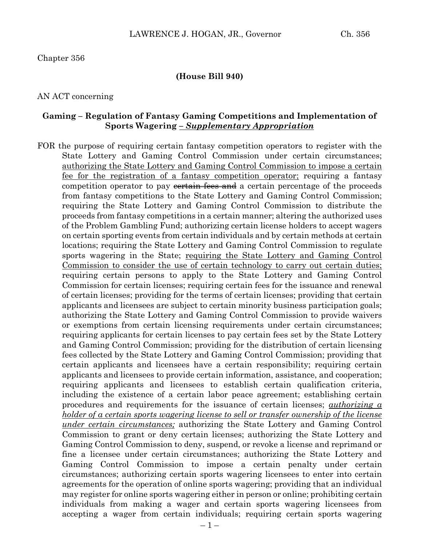#### Chapter 356

#### **(House Bill 940)**

#### AN ACT concerning

#### **Gaming – Regulation of Fantasy Gaming Competitions and Implementation of Sports Wagering** *– Supplementary Appropriation*

FOR the purpose of requiring certain fantasy competition operators to register with the State Lottery and Gaming Control Commission under certain circumstances; authorizing the State Lottery and Gaming Control Commission to impose a certain fee for the registration of a fantasy competition operator; requiring a fantasy competition operator to pay constraint free and a certain percentage of the proceeds from fantasy competitions to the State Lottery and Gaming Control Commission; requiring the State Lottery and Gaming Control Commission to distribute the proceeds from fantasy competitions in a certain manner; altering the authorized uses of the Problem Gambling Fund; authorizing certain license holders to accept wagers on certain sporting events from certain individuals and by certain methods at certain locations; requiring the State Lottery and Gaming Control Commission to regulate sports wagering in the State; requiring the State Lottery and Gaming Control Commission to consider the use of certain technology to carry out certain duties; requiring certain persons to apply to the State Lottery and Gaming Control Commission for certain licenses; requiring certain fees for the issuance and renewal of certain licenses; providing for the terms of certain licenses; providing that certain applicants and licensees are subject to certain minority business participation goals; authorizing the State Lottery and Gaming Control Commission to provide waivers or exemptions from certain licensing requirements under certain circumstances; requiring applicants for certain licenses to pay certain fees set by the State Lottery and Gaming Control Commission; providing for the distribution of certain licensing fees collected by the State Lottery and Gaming Control Commission; providing that certain applicants and licensees have a certain responsibility; requiring certain applicants and licensees to provide certain information, assistance, and cooperation; requiring applicants and licensees to establish certain qualification criteria, including the existence of a certain labor peace agreement; establishing certain procedures and requirements for the issuance of certain licenses; *authorizing a holder of a certain sports wagering license to sell or transfer ownership of the license under certain circumstances;* authorizing the State Lottery and Gaming Control Commission to grant or deny certain licenses; authorizing the State Lottery and Gaming Control Commission to deny, suspend, or revoke a license and reprimand or fine a licensee under certain circumstances; authorizing the State Lottery and Gaming Control Commission to impose a certain penalty under certain circumstances; authorizing certain sports wagering licensees to enter into certain agreements for the operation of online sports wagering; providing that an individual may register for online sports wagering either in person or online; prohibiting certain individuals from making a wager and certain sports wagering licensees from accepting a wager from certain individuals; requiring certain sports wagering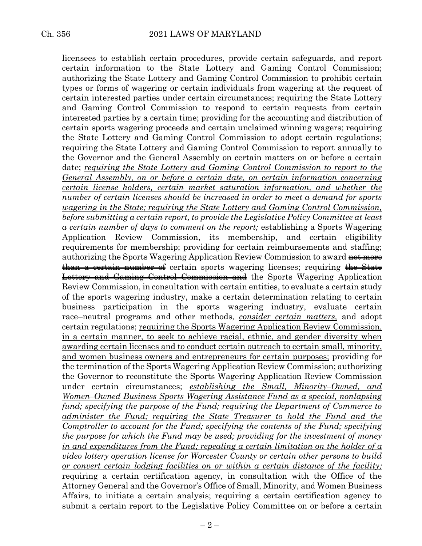licensees to establish certain procedures, provide certain safeguards, and report certain information to the State Lottery and Gaming Control Commission; authorizing the State Lottery and Gaming Control Commission to prohibit certain types or forms of wagering or certain individuals from wagering at the request of certain interested parties under certain circumstances; requiring the State Lottery and Gaming Control Commission to respond to certain requests from certain interested parties by a certain time; providing for the accounting and distribution of certain sports wagering proceeds and certain unclaimed winning wagers; requiring the State Lottery and Gaming Control Commission to adopt certain regulations; requiring the State Lottery and Gaming Control Commission to report annually to the Governor and the General Assembly on certain matters on or before a certain date; *requiring the State Lottery and Gaming Control Commission to report to the General Assembly, on or before a certain date, on certain information concerning certain license holders, certain market saturation information, and whether the number of certain licenses should be increased in order to meet a demand for sports wagering in the State; requiring the State Lottery and Gaming Control Commission, before submitting a certain report, to provide the Legislative Policy Committee at least a certain number of days to comment on the report;* establishing a Sports Wagering Application Review Commission, its membership, and certain eligibility requirements for membership; providing for certain reimbursements and staffing; authorizing the Sports Wagering Application Review Commission to award not more than a certain number of certain sports wagering licenses; requiring the State Lottery and Gaming Control Commission and the Sports Wagering Application Review Commission, in consultation with certain entities, to evaluate a certain study of the sports wagering industry, make a certain determination relating to certain business participation in the sports wagering industry, evaluate certain race–neutral programs and other methods, *consider certain matters,* and adopt certain regulations; requiring the Sports Wagering Application Review Commission, in a certain manner, to seek to achieve racial, ethnic, and gender diversity when awarding certain licenses and to conduct certain outreach to certain small, minority, and women business owners and entrepreneurs for certain purposes; providing for the termination of the Sports Wagering Application Review Commission; authorizing the Governor to reconstitute the Sports Wagering Application Review Commission under certain circumstances; *establishing the Small, Minority–Owned, and Women–Owned Business Sports Wagering Assistance Fund as a special, nonlapsing fund; specifying the purpose of the Fund; requiring the Department of Commerce to administer the Fund; requiring the State Treasurer to hold the Fund and the Comptroller to account for the Fund; specifying the contents of the Fund; specifying the purpose for which the Fund may be used; providing for the investment of money in and expenditures from the Fund; repealing a certain limitation on the holder of a video lottery operation license for Worcester County or certain other persons to build or convert certain lodging facilities on or within a certain distance of the facility;* requiring a certain certification agency, in consultation with the Office of the Attorney General and the Governor's Office of Small, Minority, and Women Business Affairs, to initiate a certain analysis; requiring a certain certification agency to submit a certain report to the Legislative Policy Committee on or before a certain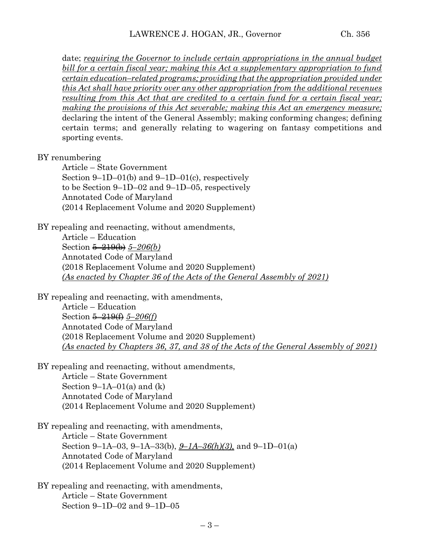date; *requiring the Governor to include certain appropriations in the annual budget bill for a certain fiscal year; making this Act a supplementary appropriation to fund certain education–related programs; providing that the appropriation provided under this Act shall have priority over any other appropriation from the additional revenues resulting from this Act that are credited to a certain fund for a certain fiscal year; making the provisions of this Act severable; making this Act an emergency measure;* declaring the intent of the General Assembly; making conforming changes; defining certain terms; and generally relating to wagering on fantasy competitions and sporting events.

#### BY renumbering

Article – State Government Section 9–1D–01(b) and 9–1D–01(c), respectively to be Section 9–1D–02 and 9–1D–05, respectively Annotated Code of Maryland (2014 Replacement Volume and 2020 Supplement)

BY repealing and reenacting, without amendments, Article – Education Section 5–219(b) *5–206(b)* Annotated Code of Maryland (2018 Replacement Volume and 2020 Supplement) *(As enacted by Chapter 36 of the Acts of the General Assembly of 2021)* 

BY repealing and reenacting, with amendments, Article – Education Section 5–219(f) *5–206(f)* Annotated Code of Maryland (2018 Replacement Volume and 2020 Supplement) *(As enacted by Chapters 36, 37, and 38 of the Acts of the General Assembly of 2021)* 

BY repealing and reenacting, without amendments, Article – State Government Section  $9-1A-01(a)$  and  $(k)$ Annotated Code of Maryland (2014 Replacement Volume and 2020 Supplement)

BY repealing and reenacting, with amendments, Article – State Government Section 9–1A–03, 9–1A–33(b), *9–1A–36(h)(3),* and 9–1D–01(a) Annotated Code of Maryland (2014 Replacement Volume and 2020 Supplement)

BY repealing and reenacting, with amendments, Article – State Government Section 9–1D–02 and 9–1D–05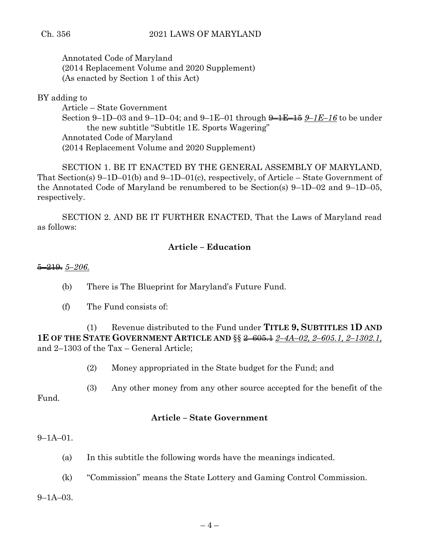## Ch. 356 2021 LAWS OF MARYLAND

Annotated Code of Maryland (2014 Replacement Volume and 2020 Supplement) (As enacted by Section 1 of this Act)

BY adding to

Article – State Government Section 9–1D–03 and 9–1D–04; and 9–1E–01 through 9–1E–15 *9–1E–16* to be under the new subtitle "Subtitle 1E. Sports Wagering" Annotated Code of Maryland (2014 Replacement Volume and 2020 Supplement)

SECTION 1. BE IT ENACTED BY THE GENERAL ASSEMBLY OF MARYLAND, That Section(s) 9–1D–01(b) and 9–1D–01(c), respectively, of Article – State Government of the Annotated Code of Maryland be renumbered to be Section(s) 9–1D–02 and 9–1D–05, respectively.

SECTION 2. AND BE IT FURTHER ENACTED, That the Laws of Maryland read as follows:

## **Article – Education**

5–219. *5–206.*

- (b) There is The Blueprint for Maryland's Future Fund.
- (f) The Fund consists of:

(1) Revenue distributed to the Fund under **TITLE 9, SUBTITLES 1D AND 1E OF THE STATE GOVERNMENT ARTICLE AND** §§ 2–605.1 *2–4A–02, 2–605.1, 2–1302.1,* and 2–1303 of the Tax – General Article;

(2) Money appropriated in the State budget for the Fund; and

(3) Any other money from any other source accepted for the benefit of the Fund.

### **Article – State Government**

#### 9–1A–01.

- (a) In this subtitle the following words have the meanings indicated.
- (k) "Commission" means the State Lottery and Gaming Control Commission.

9–1A–03.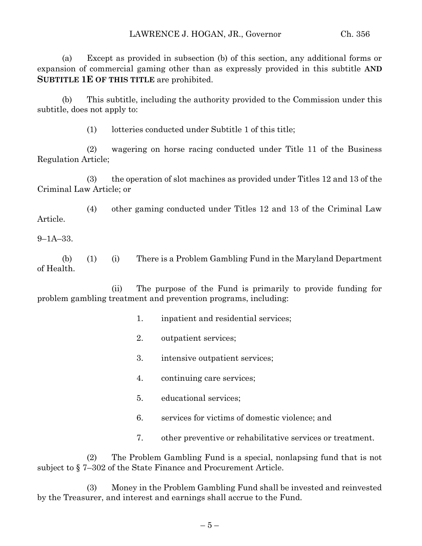(a) Except as provided in subsection (b) of this section, any additional forms or expansion of commercial gaming other than as expressly provided in this subtitle **AND SUBTITLE 1E OF THIS TITLE** are prohibited.

(b) This subtitle, including the authority provided to the Commission under this subtitle, does not apply to:

(1) lotteries conducted under Subtitle 1 of this title;

(2) wagering on horse racing conducted under Title 11 of the Business Regulation Article;

(3) the operation of slot machines as provided under Titles 12 and 13 of the Criminal Law Article; or

(4) other gaming conducted under Titles 12 and 13 of the Criminal Law Article.

9–1A–33.

(b) (1) (i) There is a Problem Gambling Fund in the Maryland Department of Health.

(ii) The purpose of the Fund is primarily to provide funding for problem gambling treatment and prevention programs, including:

- 1. inpatient and residential services;
- 2. outpatient services;
- 3. intensive outpatient services;
- 4. continuing care services;
- 5. educational services;
- 6. services for victims of domestic violence; and
- 7. other preventive or rehabilitative services or treatment.

(2) The Problem Gambling Fund is a special, nonlapsing fund that is not subject to § 7–302 of the State Finance and Procurement Article.

(3) Money in the Problem Gambling Fund shall be invested and reinvested by the Treasurer, and interest and earnings shall accrue to the Fund.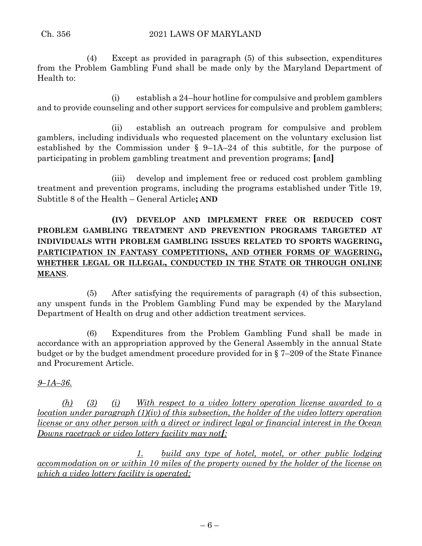(4) Except as provided in paragraph (5) of this subsection, expenditures from the Problem Gambling Fund shall be made only by the Maryland Department of Health to:

(i) establish a 24–hour hotline for compulsive and problem gamblers and to provide counseling and other support services for compulsive and problem gamblers;

(ii) establish an outreach program for compulsive and problem gamblers, including individuals who requested placement on the voluntary exclusion list established by the Commission under § 9–1A–24 of this subtitle, for the purpose of participating in problem gambling treatment and prevention programs; **[**and**]**

(iii) develop and implement free or reduced cost problem gambling treatment and prevention programs, including the programs established under Title 19, Subtitle 8 of the Health – General Article**; AND**

# **(IV) DEVELOP AND IMPLEMENT FREE OR REDUCED COST PROBLEM GAMBLING TREATMENT AND PREVENTION PROGRAMS TARGETED AT INDIVIDUALS WITH PROBLEM GAMBLING ISSUES RELATED TO SPORTS WAGERING, PARTICIPATION IN FANTASY COMPETITIONS, AND OTHER FORMS OF WAGERING, WHETHER LEGAL OR ILLEGAL, CONDUCTED IN THE STATE OR THROUGH ONLINE MEANS**.

(5) After satisfying the requirements of paragraph (4) of this subsection, any unspent funds in the Problem Gambling Fund may be expended by the Maryland Department of Health on drug and other addiction treatment services.

(6) Expenditures from the Problem Gambling Fund shall be made in accordance with an appropriation approved by the General Assembly in the annual State budget or by the budget amendment procedure provided for in § 7–209 of the State Finance and Procurement Article.

# *9–1A–36.*

*(h) (3) (i) With respect to a video lottery operation license awarded to a location under paragraph (1)(iv) of this subsection, the holder of the video lottery operation license or any other person with a direct or indirect legal or financial interest in the Ocean Downs racetrack or video lottery facility may not[:*

*1. build any type of hotel, motel, or other public lodging accommodation on or within 10 miles of the property owned by the holder of the license on which a video lottery facility is operated;*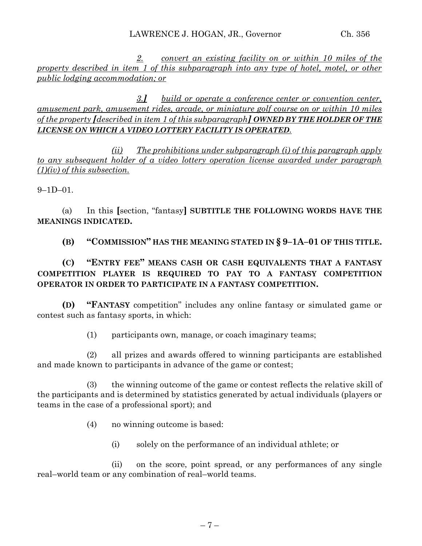*2. convert an existing facility on or within 10 miles of the property described in item 1 of this subparagraph into any type of hotel, motel, or other public lodging accommodation; or*

*3.] build or operate a conference center or convention center, amusement park, amusement rides, arcade, or miniature golf course on or within 10 miles of the property [described in item 1 of this subparagraph] OWNED BY THE HOLDER OF THE LICENSE ON WHICH A VIDEO LOTTERY FACILITY IS OPERATED.*

*(ii) The prohibitions under subparagraph (i) of this paragraph apply to any subsequent holder of a video lottery operation license awarded under paragraph (1)(iv) of this subsection.*

9–1D–01.

(a) In this **[**section, "fantasy**] SUBTITLE THE FOLLOWING WORDS HAVE THE MEANINGS INDICATED.**

**(B) "COMMISSION" HAS THE MEANING STATED IN § 9–1A–01 OF THIS TITLE.**

# **(C) "ENTRY FEE" MEANS CASH OR CASH EQUIVALENTS THAT A FANTASY COMPETITION PLAYER IS REQUIRED TO PAY TO A FANTASY COMPETITION OPERATOR IN ORDER TO PARTICIPATE IN A FANTASY COMPETITION.**

**(D) "FANTASY** competition" includes any online fantasy or simulated game or contest such as fantasy sports, in which:

(1) participants own, manage, or coach imaginary teams;

(2) all prizes and awards offered to winning participants are established and made known to participants in advance of the game or contest;

(3) the winning outcome of the game or contest reflects the relative skill of the participants and is determined by statistics generated by actual individuals (players or teams in the case of a professional sport); and

(4) no winning outcome is based:

(i) solely on the performance of an individual athlete; or

(ii) on the score, point spread, or any performances of any single real–world team or any combination of real–world teams.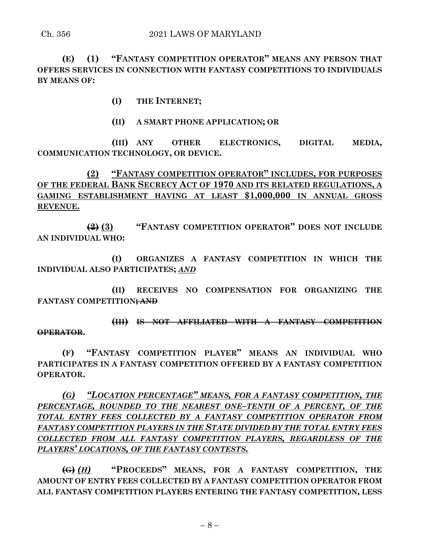**(E) (1) "FANTASY COMPETITION OPERATOR" MEANS ANY PERSON THAT OFFERS SERVICES IN CONNECTION WITH FANTASY COMPETITIONS TO INDIVIDUALS BY MEANS OF:**

**(I) THE INTERNET;**

**(II) A SMART PHONE APPLICATION; OR** 

**(III) ANY OTHER ELECTRONICS, DIGITAL MEDIA, COMMUNICATION TECHNOLOGY, OR DEVICE.**

**(2) "FANTASY COMPETITION OPERATOR" INCLUDES, FOR PURPOSES OF THE FEDERAL BANK SECRECY ACT OF 1970 AND ITS RELATED REGULATIONS, A GAMING ESTABLISHMENT HAVING AT LEAST \$1,000,000 IN ANNUAL GROSS REVENUE.**

**(2) (3) "FANTASY COMPETITION OPERATOR" DOES NOT INCLUDE AN INDIVIDUAL WHO:**

**(I) ORGANIZES A FANTASY COMPETITION IN WHICH THE INDIVIDUAL ALSO PARTICIPATES;** *AND*

**(II) RECEIVES NO COMPENSATION FOR ORGANIZING THE FANTASY COMPETITION; AND** 

**(III) IS NOT AFFILIATED WITH A FANTASY COMPETITION OPERATOR.**

**(F) "FANTASY COMPETITION PLAYER" MEANS AN INDIVIDUAL WHO PARTICIPATES IN A FANTASY COMPETITION OFFERED BY A FANTASY COMPETITION OPERATOR.**

*(G) "LOCATION PERCENTAGE" MEANS, FOR A FANTASY COMPETITION, THE PERCENTAGE, ROUNDED TO THE NEAREST ONE–TENTH OF A PERCENT, OF THE TOTAL ENTRY FEES COLLECTED BY A FANTASY COMPETITION OPERATOR FROM FANTASY COMPETITION PLAYERS IN THE STATE DIVIDED BY THE TOTAL ENTRY FEES COLLECTED FROM ALL FANTASY COMPETITION PLAYERS, REGARDLESS OF THE PLAYERS' LOCATIONS, OF THE FANTASY CONTESTS.*

**(G)** *(H)* **"PROCEEDS" MEANS, FOR A FANTASY COMPETITION, THE AMOUNT OF ENTRY FEES COLLECTED BY A FANTASY COMPETITION OPERATOR FROM ALL FANTASY COMPETITION PLAYERS ENTERING THE FANTASY COMPETITION, LESS**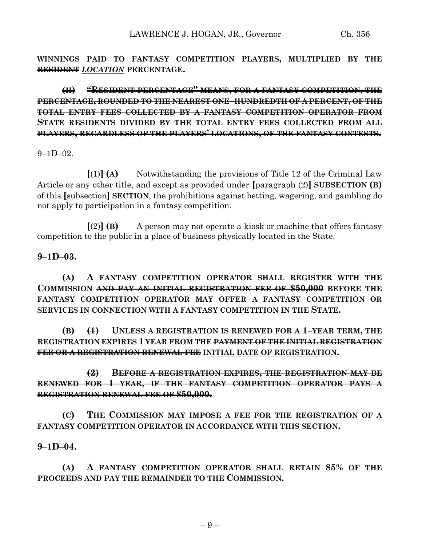**WINNINGS PAID TO FANTASY COMPETITION PLAYERS, MULTIPLIED BY THE RESIDENT** *LOCATION* **PERCENTAGE.**

**(H) "RESIDENT PERCENTAGE" MEANS, FOR A FANTASY COMPETITION, THE PERCENTAGE, ROUNDED TO THE NEAREST ONE–HUNDREDTH OF A PERCENT, OF THE TOTAL ENTRY FEES COLLECTED BY A FANTASY COMPETITION OPERATOR FROM STATE RESIDENTS DIVIDED BY THE TOTAL ENTRY FEES COLLECTED FROM ALL PLAYERS, REGARDLESS OF THE PLAYERS' LOCATIONS, OF THE FANTASY CONTESTS.**

 $9-1D-02$ 

**[**(1)**] (A)** Notwithstanding the provisions of Title 12 of the Criminal Law Article or any other title, and except as provided under **[**paragraph (2)**] SUBSECTION (B)** of this **[**subsection**] SECTION**, the prohibitions against betting, wagering, and gambling do not apply to participation in a fantasy competition.

**[**(2)**] (B)** A person may not operate a kiosk or machine that offers fantasy competition to the public in a place of business physically located in the State.

### **9–1D–03.**

**(A) A FANTASY COMPETITION OPERATOR SHALL REGISTER WITH THE COMMISSION AND PAY AN INITIAL REGISTRATION FEE OF \$50,000 BEFORE THE FANTASY COMPETITION OPERATOR MAY OFFER A FANTASY COMPETITION OR SERVICES IN CONNECTION WITH A FANTASY COMPETITION IN THE STATE.**

**(B) (1) UNLESS A REGISTRATION IS RENEWED FOR A 1–YEAR TERM, THE REGISTRATION EXPIRES 1 YEAR FROM THE PAYMENT OF THE INITIAL REGISTRATION FEE OR A REGISTRATION RENEWAL FEE INITIAL DATE OF REGISTRATION.**

## **(2) BEFORE A REGISTRATION EXPIRES, THE REGISTRATION MAY BE RENEWED FOR 1 YEAR, IF THE FANTASY COMPETITION OPERATOR PAYS A REGISTRATION RENEWAL FEE OF \$50,000.**

## **(C) THE COMMISSION MAY IMPOSE A FEE FOR THE REGISTRATION OF A FANTASY COMPETITION OPERATOR IN ACCORDANCE WITH THIS SECTION.**

### **9–1D–04.**

**(A) A FANTASY COMPETITION OPERATOR SHALL RETAIN 85% OF THE PROCEEDS AND PAY THE REMAINDER TO THE COMMISSION.**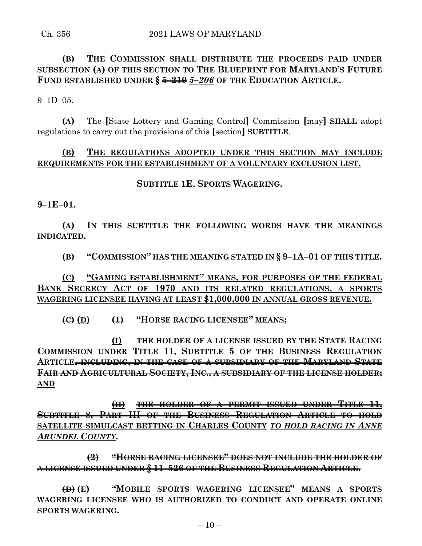# **(B) THE COMMISSION SHALL DISTRIBUTE THE PROCEEDS PAID UNDER SUBSECTION (A) OF THIS SECTION TO THE BLUEPRINT FOR MARYLAND'S FUTURE FUND ESTABLISHED UNDER § 5–219** *5–206* **OF THE EDUCATION ARTICLE.**

 $9-1D-05$ .

**(A)** The **[**State Lottery and Gaming Control**]** Commission **[**may**] SHALL** adopt regulations to carry out the provisions of this **[**section**] SUBTITLE**.

## **(B) THE REGULATIONS ADOPTED UNDER THIS SECTION MAY INCLUDE REQUIREMENTS FOR THE ESTABLISHMENT OF A VOLUNTARY EXCLUSION LIST.**

### **SUBTITLE 1E. SPORTS WAGERING.**

**9–1E–01.**

**(A) IN THIS SUBTITLE THE FOLLOWING WORDS HAVE THE MEANINGS INDICATED.**

**(B) "COMMISSION" HAS THE MEANING STATED IN § 9–1A–01 OF THIS TITLE.**

**(C) "GAMING ESTABLISHMENT" MEANS, FOR PURPOSES OF THE FEDERAL BANK SECRECY ACT OF 1970 AND ITS RELATED REGULATIONS, A SPORTS WAGERING LICENSEE HAVING AT LEAST \$1,000,000 IN ANNUAL GROSS REVENUE.**

**(C) (D) (1) "HORSE RACING LICENSEE" MEANS:**

**(I) THE HOLDER OF A LICENSE ISSUED BY THE STATE RACING COMMISSION UNDER TITLE 11, SUBTITLE 5 OF THE BUSINESS REGULATION ARTICLE, INCLUDING, IN THE CASE OF A SUBSIDIARY OF THE MARYLAND STATE FAIR AND AGRICULTURAL SOCIETY, INC., A SUBSIDIARY OF THE LICENSE HOLDER; AND**

**(II) THE HOLDER OF A PERMIT ISSUED UNDER TITLE 11, SUBTITLE 8, PART III OF THE BUSINESS REGULATION ARTICLE TO HOLD SATELLITE SIMULCAST BETTING IN CHARLES COUNTY** *TO HOLD RACING IN ANNE ARUNDEL COUNTY***.**

**(2) "HORSE RACING LICENSEE" DOES NOT INCLUDE THE HOLDER OF A LICENSE ISSUED UNDER § 11–526 OF THE BUSINESS REGULATION ARTICLE.**

**(D) (E) "MOBILE SPORTS WAGERING LICENSEE" MEANS A SPORTS WAGERING LICENSEE WHO IS AUTHORIZED TO CONDUCT AND OPERATE ONLINE SPORTS WAGERING.**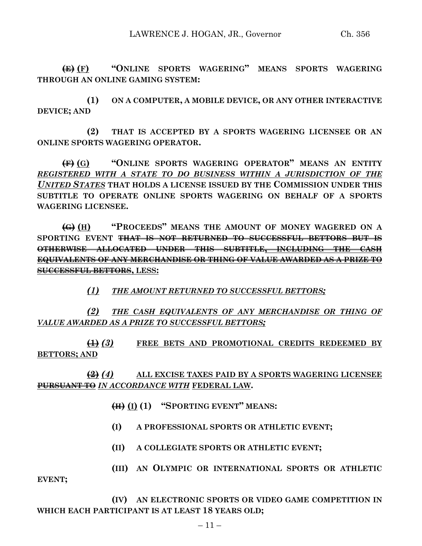**(E) (F) "ONLINE SPORTS WAGERING" MEANS SPORTS WAGERING THROUGH AN ONLINE GAMING SYSTEM:**

**(1) ON A COMPUTER, A MOBILE DEVICE, OR ANY OTHER INTERACTIVE DEVICE; AND**

**(2) THAT IS ACCEPTED BY A SPORTS WAGERING LICENSEE OR AN ONLINE SPORTS WAGERING OPERATOR.**

**(F) (G) "ONLINE SPORTS WAGERING OPERATOR" MEANS AN ENTITY**  *REGISTERED WITH A STATE TO DO BUSINESS WITHIN A JURISDICTION OF THE UNITED STATES* **THAT HOLDS A LICENSE ISSUED BY THE COMMISSION UNDER THIS SUBTITLE TO OPERATE ONLINE SPORTS WAGERING ON BEHALF OF A SPORTS WAGERING LICENSEE.**

**(G) (H) "PROCEEDS" MEANS THE AMOUNT OF MONEY WAGERED ON A SPORTING EVENT THAT IS NOT RETURNED TO SUCCESSFUL BETTORS BUT IS OTHERWISE ALLOCATED UNDER THIS SUBTITLE, INCLUDING THE CASH EQUIVALENTS OF ANY MERCHANDISE OR THING OF VALUE AWARDED AS A PRIZE TO SUCCESSFUL BETTORS, LESS:**

*(1) THE AMOUNT RETURNED TO SUCCESSFUL BETTORS;*

*(2) THE CASH EQUIVALENTS OF ANY MERCHANDISE OR THING OF VALUE AWARDED AS A PRIZE TO SUCCESSFUL BETTORS;*

**(1)** *(3)* **FREE BETS AND PROMOTIONAL CREDITS REDEEMED BY BETTORS; AND**

**(2)** *(4)* **ALL EXCISE TAXES PAID BY A SPORTS WAGERING LICENSEE PURSUANT TO** *IN ACCORDANCE WITH* **FEDERAL LAW.**

- **(H) (I) (1) "SPORTING EVENT" MEANS:**
- **(I) A PROFESSIONAL SPORTS OR ATHLETIC EVENT;**
- **(II) A COLLEGIATE SPORTS OR ATHLETIC EVENT;**
- **(III) AN OLYMPIC OR INTERNATIONAL SPORTS OR ATHLETIC**

**EVENT;**

**(IV) AN ELECTRONIC SPORTS OR VIDEO GAME COMPETITION IN WHICH EACH PARTICIPANT IS AT LEAST 18 YEARS OLD;**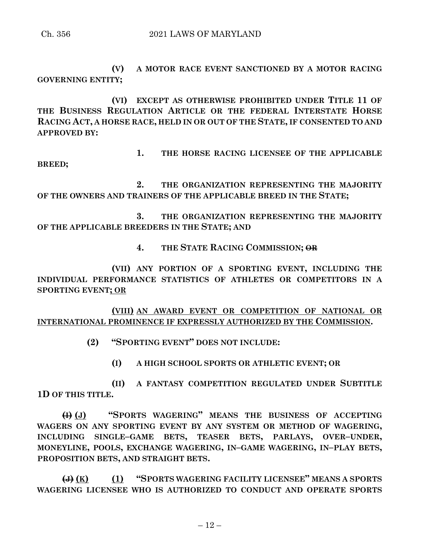Ch. 356 2021 LAWS OF MARYLAND

**(V) A MOTOR RACE EVENT SANCTIONED BY A MOTOR RACING GOVERNING ENTITY;**

**(VI) EXCEPT AS OTHERWISE PROHIBITED UNDER TITLE 11 OF THE BUSINESS REGULATION ARTICLE OR THE FEDERAL INTERSTATE HORSE RACING ACT, A HORSE RACE, HELD IN OR OUT OF THE STATE, IF CONSENTED TO AND APPROVED BY:**

**1. THE HORSE RACING LICENSEE OF THE APPLICABLE** 

**BREED;**

**2. THE ORGANIZATION REPRESENTING THE MAJORITY OF THE OWNERS AND TRAINERS OF THE APPLICABLE BREED IN THE STATE;**

**3. THE ORGANIZATION REPRESENTING THE MAJORITY OF THE APPLICABLE BREEDERS IN THE STATE; AND**

**4. THE STATE RACING COMMISSION; OR**

**(VII) ANY PORTION OF A SPORTING EVENT, INCLUDING THE INDIVIDUAL PERFORMANCE STATISTICS OF ATHLETES OR COMPETITORS IN A SPORTING EVENT; OR**

**(VIII) AN AWARD EVENT OR COMPETITION OF NATIONAL OR INTERNATIONAL PROMINENCE IF EXPRESSLY AUTHORIZED BY THE COMMISSION.**

- **(2) "SPORTING EVENT" DOES NOT INCLUDE:**
	- **(I) A HIGH SCHOOL SPORTS OR ATHLETIC EVENT; OR**

**(II) A FANTASY COMPETITION REGULATED UNDER SUBTITLE 1D OF THIS TITLE.**

**(I) (J) "SPORTS WAGERING" MEANS THE BUSINESS OF ACCEPTING WAGERS ON ANY SPORTING EVENT BY ANY SYSTEM OR METHOD OF WAGERING, INCLUDING SINGLE–GAME BETS, TEASER BETS, PARLAYS, OVER–UNDER, MONEYLINE, POOLS, EXCHANGE WAGERING, IN–GAME WAGERING, IN–PLAY BETS, PROPOSITION BETS, AND STRAIGHT BETS.**

**(J) (K) (1) "SPORTS WAGERING FACILITY LICENSEE" MEANS A SPORTS WAGERING LICENSEE WHO IS AUTHORIZED TO CONDUCT AND OPERATE SPORTS**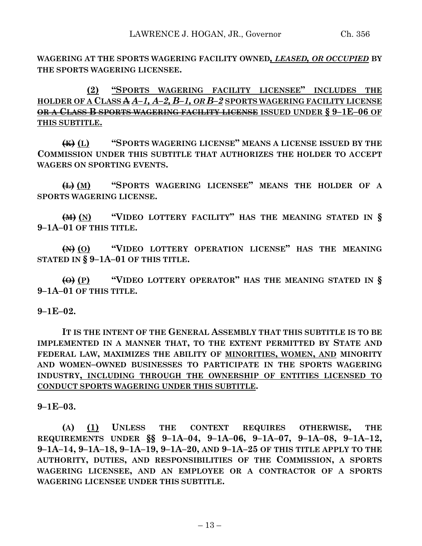**WAGERING AT THE SPORTS WAGERING FACILITY OWNED***, LEASED, OR OCCUPIED* **BY THE SPORTS WAGERING LICENSEE.**

**(2) "SPORTS WAGERING FACILITY LICENSEE" INCLUDES THE HOLDER OF A CLASS A** *A–1, A–2, B–1, OR B–2* **SPORTS WAGERING FACILITY LICENSE OR A CLASS B SPORTS WAGERING FACILITY LICENSE ISSUED UNDER § 9–1E–06 OF THIS SUBTITLE.**

**(K) (L) "SPORTS WAGERING LICENSE" MEANS A LICENSE ISSUED BY THE COMMISSION UNDER THIS SUBTITLE THAT AUTHORIZES THE HOLDER TO ACCEPT WAGERS ON SPORTING EVENTS.**

**(L) (M) "SPORTS WAGERING LICENSEE" MEANS THE HOLDER OF A SPORTS WAGERING LICENSE.**

**(M) (N) "VIDEO LOTTERY FACILITY" HAS THE MEANING STATED IN § 9–1A–01 OF THIS TITLE.**

**(N) (O) "VIDEO LOTTERY OPERATION LICENSE" HAS THE MEANING STATED IN § 9–1A–01 OF THIS TITLE.**

**(O) (P) "VIDEO LOTTERY OPERATOR" HAS THE MEANING STATED IN § 9–1A–01 OF THIS TITLE.**

**9–1E–02.**

**IT IS THE INTENT OF THE GENERAL ASSEMBLY THAT THIS SUBTITLE IS TO BE IMPLEMENTED IN A MANNER THAT, TO THE EXTENT PERMITTED BY STATE AND FEDERAL LAW, MAXIMIZES THE ABILITY OF MINORITIES, WOMEN, AND MINORITY AND WOMEN–OWNED BUSINESSES TO PARTICIPATE IN THE SPORTS WAGERING INDUSTRY, INCLUDING THROUGH THE OWNERSHIP OF ENTITIES LICENSED TO CONDUCT SPORTS WAGERING UNDER THIS SUBTITLE.**

**9–1E–03.**

**(A) (1) UNLESS THE CONTEXT REQUIRES OTHERWISE, THE**  REQUIREMENTS UNDER §§ 9-1A-04, 9-1A-06, 9-1A-07, 9-1A-08, 9-1A-12, 9-1A-14, 9-1A-18, 9-1A-19, 9-1A-20, AND 9-1A-25 OF THIS TITLE APPLY TO THE **AUTHORITY, DUTIES, AND RESPONSIBILITIES OF THE COMMISSION, A SPORTS WAGERING LICENSEE, AND AN EMPLOYEE OR A CONTRACTOR OF A SPORTS WAGERING LICENSEE UNDER THIS SUBTITLE.**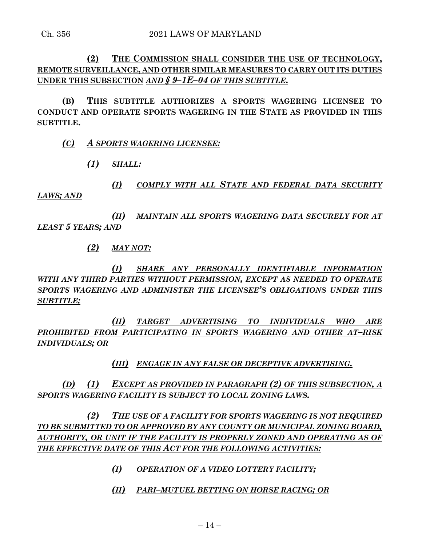**(2) THE COMMISSION SHALL CONSIDER THE USE OF TECHNOLOGY, REMOTE SURVEILLANCE, AND OTHER SIMILAR MEASURES TO CARRY OUT ITS DUTIES UNDER THIS SUBSECTION** *AND § 9–1E–04 OF THIS SUBTITLE***.**

**(B) THIS SUBTITLE AUTHORIZES A SPORTS WAGERING LICENSEE TO CONDUCT AND OPERATE SPORTS WAGERING IN THE STATE AS PROVIDED IN THIS SUBTITLE.**

*(C) A SPORTS WAGERING LICENSEE:*

*(1) SHALL:*

*(I) COMPLY WITH ALL STATE AND FEDERAL DATA SECURITY LAWS; AND*

*(II) MAINTAIN ALL SPORTS WAGERING DATA SECURELY FOR AT LEAST 5 YEARS; AND*

*(2) MAY NOT:*

*(I) SHARE ANY PERSONALLY IDENTIFIABLE INFORMATION WITH ANY THIRD PARTIES WITHOUT PERMISSION, EXCEPT AS NEEDED TO OPERATE SPORTS WAGERING AND ADMINISTER THE LICENSEE'S OBLIGATIONS UNDER THIS SUBTITLE;*

*(II) TARGET ADVERTISING TO INDIVIDUALS WHO ARE PROHIBITED FROM PARTICIPATING IN SPORTS WAGERING AND OTHER AT–RISK INDIVIDUALS; OR*

*(III) ENGAGE IN ANY FALSE OR DECEPTIVE ADVERTISING.*

*(D) (1) EXCEPT AS PROVIDED IN PARAGRAPH (2) OF THIS SUBSECTION, A SPORTS WAGERING FACILITY IS SUBJECT TO LOCAL ZONING LAWS.*

*(2) THE USE OF A FACILITY FOR SPORTS WAGERING IS NOT REQUIRED TO BE SUBMITTED TO OR APPROVED BY ANY COUNTY OR MUNICIPAL ZONING BOARD, AUTHORITY, OR UNIT IF THE FACILITY IS PROPERLY ZONED AND OPERATING AS OF THE EFFECTIVE DATE OF THIS ACT FOR THE FOLLOWING ACTIVITIES:*

- *(I) OPERATION OF A VIDEO LOTTERY FACILITY;*
- *(II) PARI–MUTUEL BETTING ON HORSE RACING; OR*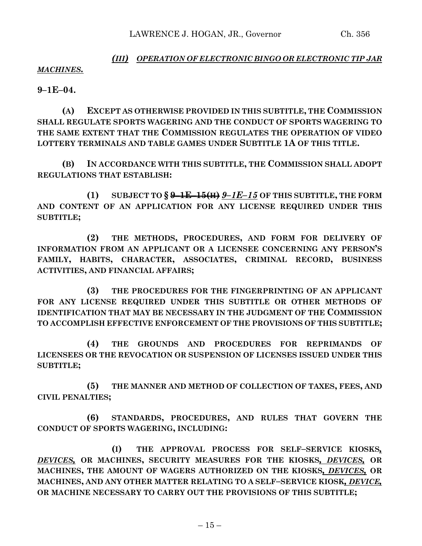## *(III) OPERATION OF ELECTRONIC BINGO OR ELECTRONIC TIP JAR MACHINES.*

**9–1E–04.**

**(A) EXCEPT AS OTHERWISE PROVIDED IN THIS SUBTITLE, THE COMMISSION SHALL REGULATE SPORTS WAGERING AND THE CONDUCT OF SPORTS WAGERING TO THE SAME EXTENT THAT THE COMMISSION REGULATES THE OPERATION OF VIDEO LOTTERY TERMINALS AND TABLE GAMES UNDER SUBTITLE 1A OF THIS TITLE.**

**(B) IN ACCORDANCE WITH THIS SUBTITLE, THE COMMISSION SHALL ADOPT REGULATIONS THAT ESTABLISH:**

**(1) SUBJECT TO § 9–1E–15(H)** *9–1E–15* **OF THIS SUBTITLE, THE FORM AND CONTENT OF AN APPLICATION FOR ANY LICENSE REQUIRED UNDER THIS SUBTITLE;**

**(2) THE METHODS, PROCEDURES, AND FORM FOR DELIVERY OF INFORMATION FROM AN APPLICANT OR A LICENSEE CONCERNING ANY PERSON'S FAMILY, HABITS, CHARACTER, ASSOCIATES, CRIMINAL RECORD, BUSINESS ACTIVITIES, AND FINANCIAL AFFAIRS;**

**(3) THE PROCEDURES FOR THE FINGERPRINTING OF AN APPLICANT FOR ANY LICENSE REQUIRED UNDER THIS SUBTITLE OR OTHER METHODS OF IDENTIFICATION THAT MAY BE NECESSARY IN THE JUDGMENT OF THE COMMISSION TO ACCOMPLISH EFFECTIVE ENFORCEMENT OF THE PROVISIONS OF THIS SUBTITLE;**

**(4) THE GROUNDS AND PROCEDURES FOR REPRIMANDS OF LICENSEES OR THE REVOCATION OR SUSPENSION OF LICENSES ISSUED UNDER THIS SUBTITLE;**

**(5) THE MANNER AND METHOD OF COLLECTION OF TAXES, FEES, AND CIVIL PENALTIES;**

**(6) STANDARDS, PROCEDURES, AND RULES THAT GOVERN THE CONDUCT OF SPORTS WAGERING, INCLUDING:**

**(I) THE APPROVAL PROCESS FOR SELF–SERVICE KIOSKS***, DEVICES,* **OR MACHINES, SECURITY MEASURES FOR THE KIOSKS***, DEVICES,* **OR MACHINES, THE AMOUNT OF WAGERS AUTHORIZED ON THE KIOSKS***, DEVICES,* **OR MACHINES, AND ANY OTHER MATTER RELATING TO A SELF–SERVICE KIOSK***, DEVICE,* **OR MACHINE NECESSARY TO CARRY OUT THE PROVISIONS OF THIS SUBTITLE;**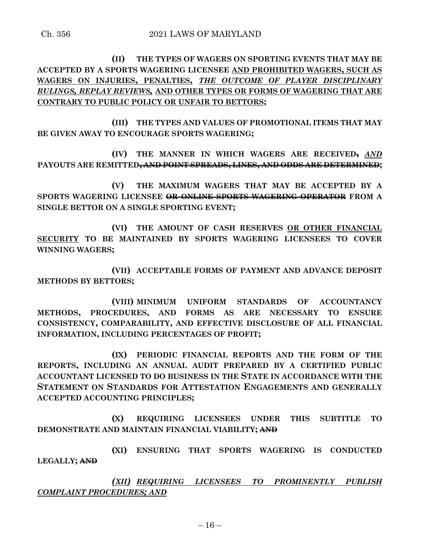**(II) THE TYPES OF WAGERS ON SPORTING EVENTS THAT MAY BE ACCEPTED BY A SPORTS WAGERING LICENSEE AND PROHIBITED WAGERS, SUCH AS WAGERS ON INJURIES, PENALTIES,** *THE OUTCOME OF PLAYER DISCIPLINARY RULINGS, REPLAY REVIEWS,* **AND OTHER TYPES OR FORMS OF WAGERING THAT ARE CONTRARY TO PUBLIC POLICY OR UNFAIR TO BETTORS;**

**(III) THE TYPES AND VALUES OF PROMOTIONAL ITEMS THAT MAY BE GIVEN AWAY TO ENCOURAGE SPORTS WAGERING;**

**(IV) THE MANNER IN WHICH WAGERS ARE RECEIVED,** *AND* **PAYOUTS ARE REMITTED, AND POINT SPREADS, LINES, AND ODDS ARE DETERMINED;**

**(V) THE MAXIMUM WAGERS THAT MAY BE ACCEPTED BY A SPORTS WAGERING LICENSEE OR ONLINE SPORTS WAGERING OPERATOR FROM A SINGLE BETTOR ON A SINGLE SPORTING EVENT;**

**(VI) THE AMOUNT OF CASH RESERVES OR OTHER FINANCIAL SECURITY TO BE MAINTAINED BY SPORTS WAGERING LICENSEES TO COVER WINNING WAGERS;**

**(VII) ACCEPTABLE FORMS OF PAYMENT AND ADVANCE DEPOSIT METHODS BY BETTORS;**

**(VIII) MINIMUM UNIFORM STANDARDS OF ACCOUNTANCY METHODS, PROCEDURES, AND FORMS AS ARE NECESSARY TO ENSURE CONSISTENCY, COMPARABILITY, AND EFFECTIVE DISCLOSURE OF ALL FINANCIAL INFORMATION, INCLUDING PERCENTAGES OF PROFIT;**

**(IX) PERIODIC FINANCIAL REPORTS AND THE FORM OF THE REPORTS, INCLUDING AN ANNUAL AUDIT PREPARED BY A CERTIFIED PUBLIC ACCOUNTANT LICENSED TO DO BUSINESS IN THE STATE IN ACCORDANCE WITH THE STATEMENT ON STANDARDS FOR ATTESTATION ENGAGEMENTS AND GENERALLY ACCEPTED ACCOUNTING PRINCIPLES;**

**(X) REQUIRING LICENSEES UNDER THIS SUBTITLE TO DEMONSTRATE AND MAINTAIN FINANCIAL VIABILITY; AND**

**(XI) ENSURING THAT SPORTS WAGERING IS CONDUCTED LEGALLY; AND**

*(XII) REQUIRING LICENSEES TO PROMINENTLY PUBLISH COMPLAINT PROCEDURES; AND*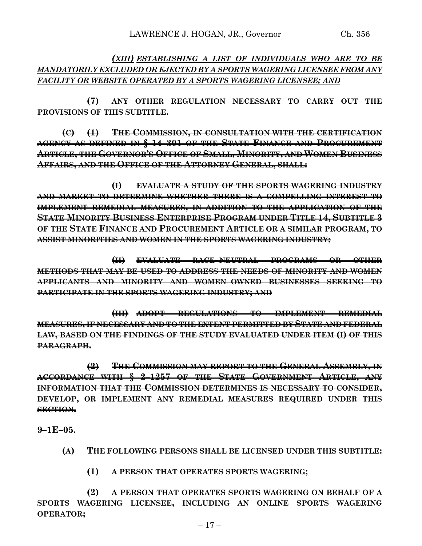## *(XIII) ESTABLISHING A LIST OF INDIVIDUALS WHO ARE TO BE MANDATORILY EXCLUDED OR EJECTED BY A SPORTS WAGERING LICENSEE FROM ANY FACILITY OR WEBSITE OPERATED BY A SPORTS WAGERING LICENSEE; AND*

**(7) ANY OTHER REGULATION NECESSARY TO CARRY OUT THE PROVISIONS OF THIS SUBTITLE.**

**(C) (1) THE COMMISSION, IN CONSULTATION WITH THE CERTIFICATION AGENCY AS DEFINED IN § 14–301 OF THE STATE FINANCE AND PROCUREMENT ARTICLE, THE GOVERNOR'S OFFICE OF SMALL, MINORITY, AND WOMEN BUSINESS AFFAIRS, AND THE OFFICE OF THE ATTORNEY GENERAL, SHALL:**

**(I) EVALUATE A STUDY OF THE SPORTS WAGERING INDUSTRY AND MARKET TO DETERMINE WHETHER THERE IS A COMPELLING INTEREST TO IMPLEMENT REMEDIAL MEASURES, IN ADDITION TO THE APPLICATION OF THE STATE MINORITY BUSINESS ENTERPRISE PROGRAM UNDER TITLE 14, SUBTITLE 3 OF THE STATE FINANCE AND PROCUREMENT ARTICLE OR A SIMILAR PROGRAM, TO ASSIST MINORITIES AND WOMEN IN THE SPORTS WAGERING INDUSTRY;**

**(II) EVALUATE RACE–NEUTRAL PROGRAMS OR OTHER METHODS THAT MAY BE USED TO ADDRESS THE NEEDS OF MINORITY AND WOMEN APPLICANTS AND MINORITY AND WOMEN–OWNED BUSINESSES SEEKING TO PARTICIPATE IN THE SPORTS WAGERING INDUSTRY; AND**

**(III) ADOPT REGULATIONS TO IMPLEMENT REMEDIAL MEASURES, IF NECESSARY AND TO THE EXTENT PERMITTED BY STATE AND FEDERAL LAW, BASED ON THE FINDINGS OF THE STUDY EVALUATED UNDER ITEM (I) OF THIS PARAGRAPH.**

**(2) THE COMMISSION MAY REPORT TO THE GENERAL ASSEMBLY, IN ACCORDANCE WITH § 2–1257 OF THE STATE GOVERNMENT ARTICLE, ANY INFORMATION THAT THE COMMISSION DETERMINES IS NECESSARY TO CONSIDER, DEVELOP, OR IMPLEMENT ANY REMEDIAL MEASURES REQUIRED UNDER THIS SECTION.**

**9–1E–05.**

- **(A) THE FOLLOWING PERSONS SHALL BE LICENSED UNDER THIS SUBTITLE:**
	- **(1) A PERSON THAT OPERATES SPORTS WAGERING;**

**(2) A PERSON THAT OPERATES SPORTS WAGERING ON BEHALF OF A SPORTS WAGERING LICENSEE, INCLUDING AN ONLINE SPORTS WAGERING OPERATOR;**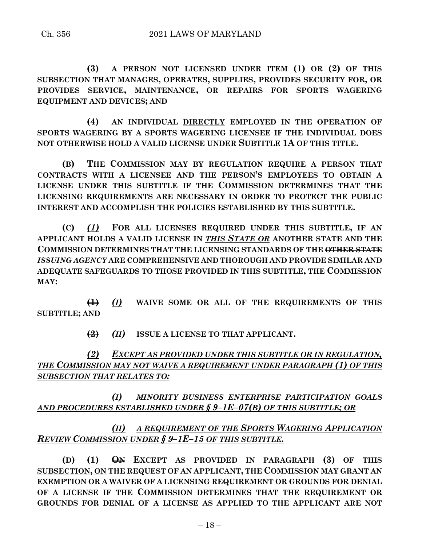**(3) A PERSON NOT LICENSED UNDER ITEM (1) OR (2) OF THIS SUBSECTION THAT MANAGES, OPERATES, SUPPLIES, PROVIDES SECURITY FOR, OR PROVIDES SERVICE, MAINTENANCE, OR REPAIRS FOR SPORTS WAGERING EQUIPMENT AND DEVICES; AND**

**(4) AN INDIVIDUAL DIRECTLY EMPLOYED IN THE OPERATION OF SPORTS WAGERING BY A SPORTS WAGERING LICENSEE IF THE INDIVIDUAL DOES NOT OTHERWISE HOLD A VALID LICENSE UNDER SUBTITLE 1A OF THIS TITLE.**

**(B) THE COMMISSION MAY BY REGULATION REQUIRE A PERSON THAT CONTRACTS WITH A LICENSEE AND THE PERSON'S EMPLOYEES TO OBTAIN A LICENSE UNDER THIS SUBTITLE IF THE COMMISSION DETERMINES THAT THE LICENSING REQUIREMENTS ARE NECESSARY IN ORDER TO PROTECT THE PUBLIC INTEREST AND ACCOMPLISH THE POLICIES ESTABLISHED BY THIS SUBTITLE.**

**(C)** *(1)* **FOR ALL LICENSES REQUIRED UNDER THIS SUBTITLE, IF AN APPLICANT HOLDS A VALID LICENSE IN** *THIS STATE OR* **ANOTHER STATE AND THE COMMISSION DETERMINES THAT THE LICENSING STANDARDS OF THE OTHER STATE** *ISSUING AGENCY* **ARE COMPREHENSIVE AND THOROUGH AND PROVIDE SIMILAR AND ADEQUATE SAFEGUARDS TO THOSE PROVIDED IN THIS SUBTITLE, THE COMMISSION MAY:**

**(1)** *(I)* **WAIVE SOME OR ALL OF THE REQUIREMENTS OF THIS SUBTITLE; AND**

**(2)** *(II)* **ISSUE A LICENSE TO THAT APPLICANT.**

*(2) EXCEPT AS PROVIDED UNDER THIS SUBTITLE OR IN REGULATION, THE COMMISSION MAY NOT WAIVE A REQUIREMENT UNDER PARAGRAPH (1) OF THIS SUBSECTION THAT RELATES TO:*

*(I) MINORITY BUSINESS ENTERPRISE PARTICIPATION GOALS AND PROCEDURES ESTABLISHED UNDER § 9–1E–07(B) OF THIS SUBTITLE; OR*

# *(II) A REQUIREMENT OF THE SPORTS WAGERING APPLICATION REVIEW COMMISSION UNDER § 9–1E–15 OF THIS SUBTITLE.*

**(D) (1) ON EXCEPT AS PROVIDED IN PARAGRAPH (3) OF THIS SUBSECTION, ON THE REQUEST OF AN APPLICANT, THE COMMISSION MAY GRANT AN EXEMPTION OR A WAIVER OF A LICENSING REQUIREMENT OR GROUNDS FOR DENIAL OF A LICENSE IF THE COMMISSION DETERMINES THAT THE REQUIREMENT OR GROUNDS FOR DENIAL OF A LICENSE AS APPLIED TO THE APPLICANT ARE NOT**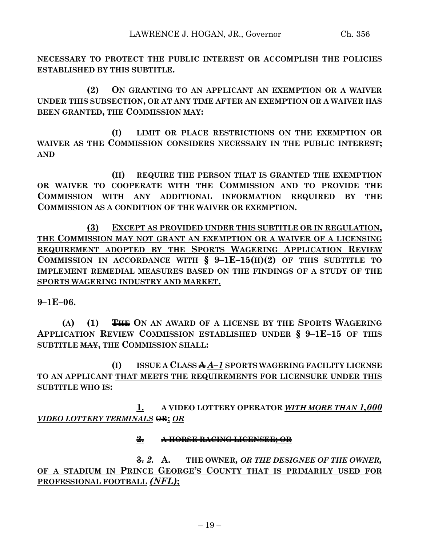**NECESSARY TO PROTECT THE PUBLIC INTEREST OR ACCOMPLISH THE POLICIES ESTABLISHED BY THIS SUBTITLE.**

**(2) ON GRANTING TO AN APPLICANT AN EXEMPTION OR A WAIVER UNDER THIS SUBSECTION, OR AT ANY TIME AFTER AN EXEMPTION OR A WAIVER HAS BEEN GRANTED, THE COMMISSION MAY:**

**(I) LIMIT OR PLACE RESTRICTIONS ON THE EXEMPTION OR WAIVER AS THE COMMISSION CONSIDERS NECESSARY IN THE PUBLIC INTEREST; AND**

**(II) REQUIRE THE PERSON THAT IS GRANTED THE EXEMPTION OR WAIVER TO COOPERATE WITH THE COMMISSION AND TO PROVIDE THE COMMISSION WITH ANY ADDITIONAL INFORMATION REQUIRED BY THE COMMISSION AS A CONDITION OF THE WAIVER OR EXEMPTION.**

**(3) EXCEPT AS PROVIDED UNDER THIS SUBTITLE OR IN REGULATION, THE COMMISSION MAY NOT GRANT AN EXEMPTION OR A WAIVER OF A LICENSING REQUIREMENT ADOPTED BY THE SPORTS WAGERING APPLICATION REVIEW COMMISSION IN ACCORDANCE WITH § 9–1E–15(H)(2) OF THIS SUBTITLE TO IMPLEMENT REMEDIAL MEASURES BASED ON THE FINDINGS OF A STUDY OF THE SPORTS WAGERING INDUSTRY AND MARKET.**

**9–1E–06.**

**(A) (1) THE ON AN AWARD OF A LICENSE BY THE SPORTS WAGERING APPLICATION REVIEW COMMISSION ESTABLISHED UNDER § 9–1E–15 OF THIS SUBTITLE MAY, THE COMMISSION SHALL:**

**(I) ISSUE A CLASS A** *A–1* **SPORTS WAGERING FACILITY LICENSE TO AN APPLICANT THAT MEETS THE REQUIREMENTS FOR LICENSURE UNDER THIS SUBTITLE WHO IS:**

**1. A VIDEO LOTTERY OPERATOR** *WITH MORE THAN 1,000 VIDEO LOTTERY TERMINALS* **OR;** *OR*

### **2. A HORSE RACING LICENSEE; OR**

**3.** *2.* **A. THE OWNER***, OR THE DESIGNEE OF THE OWNER,* **OF A STADIUM IN PRINCE GEORGE'S COUNTY THAT IS PRIMARILY USED FOR PROFESSIONAL FOOTBALL** *(NFL)***;**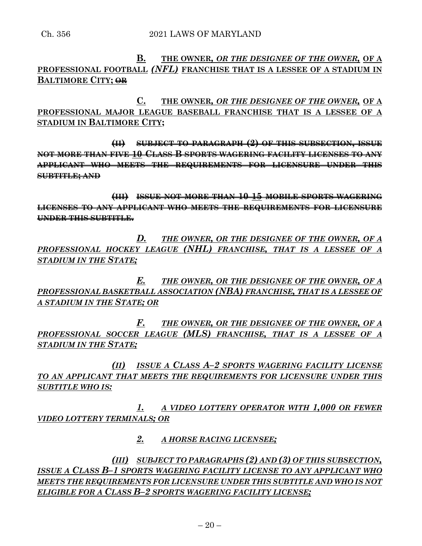# **B. THE OWNER***, OR THE DESIGNEE OF THE OWNER,* **OF A PROFESSIONAL FOOTBALL** *(NFL)* **FRANCHISE THAT IS A LESSEE OF A STADIUM IN BALTIMORE CITY; OR**

**C. THE OWNER***, OR THE DESIGNEE OF THE OWNER,* **OF A PROFESSIONAL MAJOR LEAGUE BASEBALL FRANCHISE THAT IS A LESSEE OF A STADIUM IN BALTIMORE CITY;**

**(II) SUBJECT TO PARAGRAPH (2) OF THIS SUBSECTION, ISSUE NOT MORE THAN FIVE 10 CLASS B SPORTS WAGERING FACILITY LICENSES TO ANY APPLICANT WHO MEETS THE REQUIREMENTS FOR LICENSURE UNDER THIS SUBTITLE; AND**

**(III) ISSUE NOT MORE THAN 10 15 MOBILE SPORTS WAGERING LICENSES TO ANY APPLICANT WHO MEETS THE REQUIREMENTS FOR LICENSURE UNDER THIS SUBTITLE.**

*D. THE OWNER, OR THE DESIGNEE OF THE OWNER, OF A PROFESSIONAL HOCKEY LEAGUE (NHL) FRANCHISE, THAT IS A LESSEE OF A STADIUM IN THE STATE;*

*E. THE OWNER, OR THE DESIGNEE OF THE OWNER, OF A PROFESSIONAL BASKETBALL ASSOCIATION (NBA) FRANCHISE, THAT IS A LESSEE OF A STADIUM IN THE STATE; OR*

*F. THE OWNER, OR THE DESIGNEE OF THE OWNER, OF A PROFESSIONAL SOCCER LEAGUE (MLS) FRANCHISE, THAT IS A LESSEE OF A STADIUM IN THE STATE;*

*(II) ISSUE A CLASS A–2 SPORTS WAGERING FACILITY LICENSE TO AN APPLICANT THAT MEETS THE REQUIREMENTS FOR LICENSURE UNDER THIS SUBTITLE WHO IS:*

*1. A VIDEO LOTTERY OPERATOR WITH 1,000 OR FEWER VIDEO LOTTERY TERMINALS; OR*

*2. A HORSE RACING LICENSEE;*

*(III) SUBJECT TO PARAGRAPHS (2) AND (3) OF THIS SUBSECTION, ISSUE A CLASS B–1 SPORTS WAGERING FACILITY LICENSE TO ANY APPLICANT WHO MEETS THE REQUIREMENTS FOR LICENSURE UNDER THIS SUBTITLE AND WHO IS NOT ELIGIBLE FOR A CLASS B–2 SPORTS WAGERING FACILITY LICENSE;*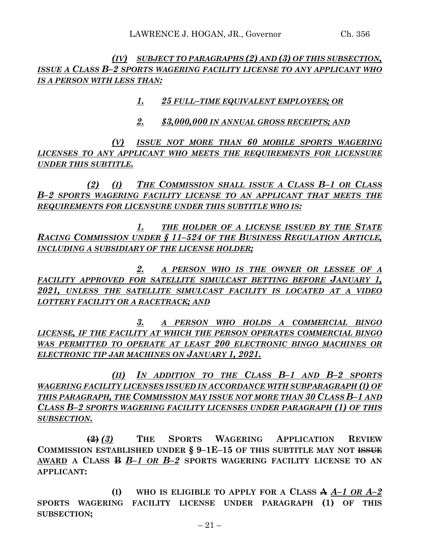*(IV) SUBJECT TO PARAGRAPHS (2) AND (3) OF THIS SUBSECTION, ISSUE A CLASS B–2 SPORTS WAGERING FACILITY LICENSE TO ANY APPLICANT WHO IS A PERSON WITH LESS THAN:*

*1. 25 FULL–TIME EQUIVALENT EMPLOYEES; OR*

*2. \$3,000,000 IN ANNUAL GROSS RECEIPTS; AND*

*(V) ISSUE NOT MORE THAN 60 MOBILE SPORTS WAGERING LICENSES TO ANY APPLICANT WHO MEETS THE REQUIREMENTS FOR LICENSURE UNDER THIS SUBTITLE.*

*(2) (I) THE COMMISSION SHALL ISSUE A CLASS B–1 OR CLASS B–2 SPORTS WAGERING FACILITY LICENSE TO AN APPLICANT THAT MEETS THE REQUIREMENTS FOR LICENSURE UNDER THIS SUBTITLE WHO IS:*

*1. THE HOLDER OF A LICENSE ISSUED BY THE STATE RACING COMMISSION UNDER § 11–524 OF THE BUSINESS REGULATION ARTICLE, INCLUDING A SUBSIDIARY OF THE LICENSE HOLDER;*

*2. A PERSON WHO IS THE OWNER OR LESSEE OF A FACILITY APPROVED FOR SATELLITE SIMULCAST BETTING BEFORE JANUARY 1, 2021, UNLESS THE SATELLITE SIMULCAST FACILITY IS LOCATED AT A VIDEO LOTTERY FACILITY OR A RACETRACK; AND*

*3. A PERSON WHO HOLDS A COMMERCIAL BINGO LICENSE, IF THE FACILITY AT WHICH THE PERSON OPERATES COMMERCIAL BINGO WAS PERMITTED TO OPERATE AT LEAST 200 ELECTRONIC BINGO MACHINES OR ELECTRONIC TIP JAR MACHINES ON JANUARY 1, 2021.*

*(II) IN ADDITION TO THE CLASS B–1 AND B–2 SPORTS WAGERING FACILITY LICENSES ISSUED IN ACCORDANCE WITH SUBPARAGRAPH (I) OF THIS PARAGRAPH, THE COMMISSION MAY ISSUE NOT MORE THAN 30 CLASS B–1 AND CLASS B–2 SPORTS WAGERING FACILITY LICENSES UNDER PARAGRAPH (1) OF THIS SUBSECTION.*

**(2)** *(3)* **THE SPORTS WAGERING APPLICATION REVIEW COMMISSION ESTABLISHED UNDER § 9–1E–15 OF THIS SUBTITLE MAY NOT ISSUE AWARD A CLASS B** *B–1 OR B–2* **SPORTS WAGERING FACILITY LICENSE TO AN APPLICANT:**

**(I) WHO IS ELIGIBLE TO APPLY FOR A CLASS A** *A–1 OR A–2* **SPORTS WAGERING FACILITY LICENSE UNDER PARAGRAPH (1) OF THIS SUBSECTION;**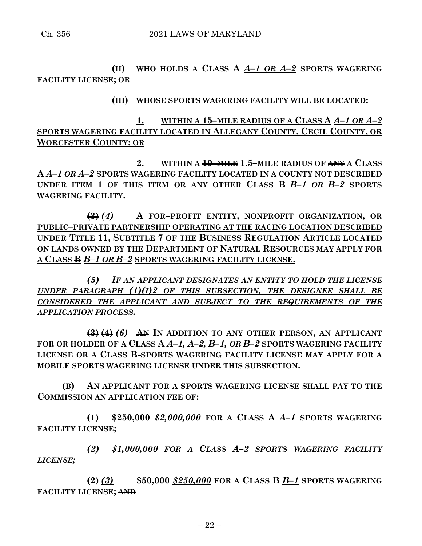**(II) WHO HOLDS A CLASS A** *A–1 OR A–2* **SPORTS WAGERING FACILITY LICENSE; OR**

**(III) WHOSE SPORTS WAGERING FACILITY WILL BE LOCATED:**

**1. WITHIN A 15–MILE RADIUS OF A CLASS A** *A–1 OR A–2* **SPORTS WAGERING FACILITY LOCATED IN ALLEGANY COUNTY, CECIL COUNTY, OR WORCESTER COUNTY; OR**

**2. WITHIN A 10–MILE 1.5–MILE RADIUS OF ANY A CLASS A** *A–1 OR A–2* **SPORTS WAGERING FACILITY LOCATED IN A COUNTY NOT DESCRIBED UNDER ITEM 1 OF THIS ITEM OR ANY OTHER CLASS B** *B–1 OR B–2* **SPORTS WAGERING FACILITY.**

**(3)** *(4)* **A FOR–PROFIT ENTITY, NONPROFIT ORGANIZATION, OR PUBLIC–PRIVATE PARTNERSHIP OPERATING AT THE RACING LOCATION DESCRIBED UNDER TITLE 11, SUBTITLE 7 OF THE BUSINESS REGULATION ARTICLE LOCATED ON LANDS OWNED BY THE DEPARTMENT OF NATURAL RESOURCES MAY APPLY FOR A CLASS B** *B–1 OR B–2* **SPORTS WAGERING FACILITY LICENSE.**

*(5) IF AN APPLICANT DESIGNATES AN ENTITY TO HOLD THE LICENSE UNDER PARAGRAPH (1)(I)2 OF THIS SUBSECTION, THE DESIGNEE SHALL BE CONSIDERED THE APPLICANT AND SUBJECT TO THE REQUIREMENTS OF THE APPLICATION PROCESS.*

**(3) (4)** *(6)* **AN IN ADDITION TO ANY OTHER PERSON, AN APPLICANT FOR OR HOLDER OF A CLASS A** *A–1, A–2, B–1, OR B–2* **SPORTS WAGERING FACILITY LICENSE OR A CLASS B SPORTS WAGERING FACILITY LICENSE MAY APPLY FOR A MOBILE SPORTS WAGERING LICENSE UNDER THIS SUBSECTION.**

**(B) AN APPLICANT FOR A SPORTS WAGERING LICENSE SHALL PAY TO THE COMMISSION AN APPLICATION FEE OF:**

**(1) \$250,000** *\$2,000,000* **FOR A CLASS A** *A–1* **SPORTS WAGERING FACILITY LICENSE;**

*(2) \$1,000,000 FOR A CLASS A–2 SPORTS WAGERING FACILITY LICENSE;*

**(2)** *(3)* **\$50,000** *\$250,000* **FOR A CLASS B** *B–1* **SPORTS WAGERING FACILITY LICENSE; AND**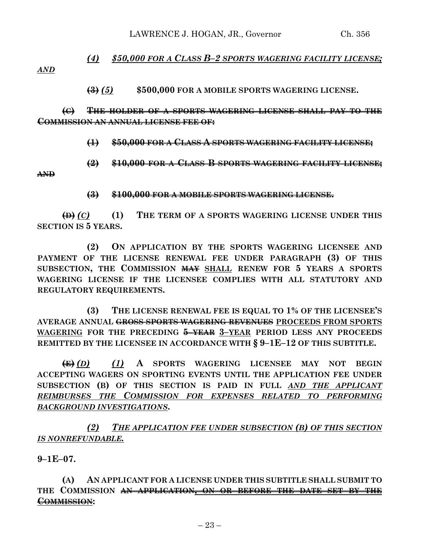# *(4) \$50,000 FOR A CLASS B–2 SPORTS WAGERING FACILITY LICENSE;*

*AND*

**(3)** *(5)* **\$500,000 FOR A MOBILE SPORTS WAGERING LICENSE.**

**(C) THE HOLDER OF A SPORTS WAGERING LICENSE SHALL PAY TO THE COMMISSION AN ANNUAL LICENSE FEE OF:**

**(1) \$50,000 FOR A CLASS A SPORTS WAGERING FACILITY LICENSE;**

**(2) \$10,000 FOR A CLASS B SPORTS WAGERING FACILITY LICENSE;**

**AND**

#### **(3) \$100,000 FOR A MOBILE SPORTS WAGERING LICENSE.**

**(D)** *(C)* **(1) THE TERM OF A SPORTS WAGERING LICENSE UNDER THIS SECTION IS 5 YEARS.**

**(2) ON APPLICATION BY THE SPORTS WAGERING LICENSEE AND PAYMENT OF THE LICENSE RENEWAL FEE UNDER PARAGRAPH (3) OF THIS SUBSECTION, THE COMMISSION MAY SHALL RENEW FOR 5 YEARS A SPORTS WAGERING LICENSE IF THE LICENSEE COMPLIES WITH ALL STATUTORY AND REGULATORY REQUIREMENTS.**

**(3) THE LICENSE RENEWAL FEE IS EQUAL TO 1% OF THE LICENSEE'S AVERAGE ANNUAL GROSS SPORTS WAGERING REVENUES PROCEEDS FROM SPORTS WAGERING FOR THE PRECEDING 5–YEAR 3–YEAR PERIOD LESS ANY PROCEEDS REMITTED BY THE LICENSEE IN ACCORDANCE WITH § 9–1E–12 OF THIS SUBTITLE.**

**(E)** *(D) (1)* **A SPORTS WAGERING LICENSEE MAY NOT BEGIN ACCEPTING WAGERS ON SPORTING EVENTS UNTIL THE APPLICATION FEE UNDER SUBSECTION (B) OF THIS SECTION IS PAID IN FULL** *AND THE APPLICANT REIMBURSES THE COMMISSION FOR EXPENSES RELATED TO PERFORMING BACKGROUND INVESTIGATIONS***.**

*(2) THE APPLICATION FEE UNDER SUBSECTION (B) OF THIS SECTION IS NONREFUNDABLE.*

**9–1E–07.**

**(A) AN APPLICANT FOR A LICENSE UNDER THIS SUBTITLE SHALL SUBMIT TO THE COMMISSION AN APPLICATION, ON OR BEFORE THE DATE SET BY THE COMMISSION:**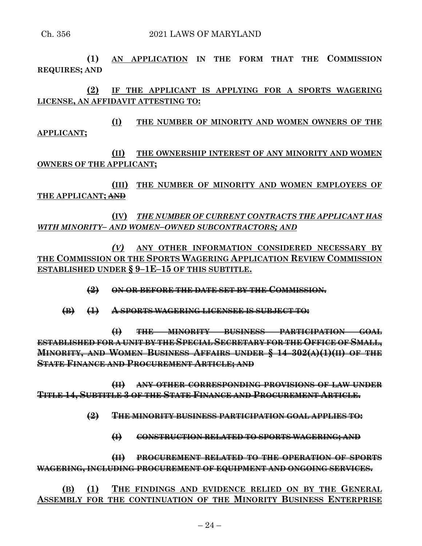**(1) AN APPLICATION IN THE FORM THAT THE COMMISSION REQUIRES; AND**

**(2) IF THE APPLICANT IS APPLYING FOR A SPORTS WAGERING LICENSE, AN AFFIDAVIT ATTESTING TO:**

**(I) THE NUMBER OF MINORITY AND WOMEN OWNERS OF THE APPLICANT;**

**(II) THE OWNERSHIP INTEREST OF ANY MINORITY AND WOMEN OWNERS OF THE APPLICANT;**

**(III) THE NUMBER OF MINORITY AND WOMEN EMPLOYEES OF THE APPLICANT; AND**

**(IV)** *THE NUMBER OF CURRENT CONTRACTS THE APPLICANT HAS WITH MINORITY– AND WOMEN–OWNED SUBCONTRACTORS; AND*

*(V)* **ANY OTHER INFORMATION CONSIDERED NECESSARY BY THE COMMISSION OR THE SPORTS WAGERING APPLICATION REVIEW COMMISSION ESTABLISHED UNDER § 9–1E–15 OF THIS SUBTITLE.**

**(2) ON OR BEFORE THE DATE SET BY THE COMMISSION.**

**(B) (1) A SPORTS WAGERING LICENSEE IS SUBJECT TO:**

**(I) THE MINORITY BUSINESS PARTICIPATION GOAL ESTABLISHED FOR A UNIT BY THE SPECIAL SECRETARY FOR THE OFFICE OF SMALL, MINORITY, AND WOMEN BUSINESS AFFAIRS UNDER § 14–302(A)(1)(II) OF THE STATE FINANCE AND PROCUREMENT ARTICLE; AND**

**(II) ANY OTHER CORRESPONDING PROVISIONS OF LAW UNDER TITLE 14, SUBTITLE 3 OF THE STATE FINANCE AND PROCUREMENT ARTICLE.**

**(2) THE MINORITY BUSINESS PARTICIPATION GOAL APPLIES TO:**

**(I) CONSTRUCTION RELATED TO SPORTS WAGERING; AND**

**(II) PROCUREMENT RELATED TO THE OPERATION OF SPORTS WAGERING, INCLUDING PROCUREMENT OF EQUIPMENT AND ONGOING SERVICES.**

**(B) (1) THE FINDINGS AND EVIDENCE RELIED ON BY THE GENERAL ASSEMBLY FOR THE CONTINUATION OF THE MINORITY BUSINESS ENTERPRISE**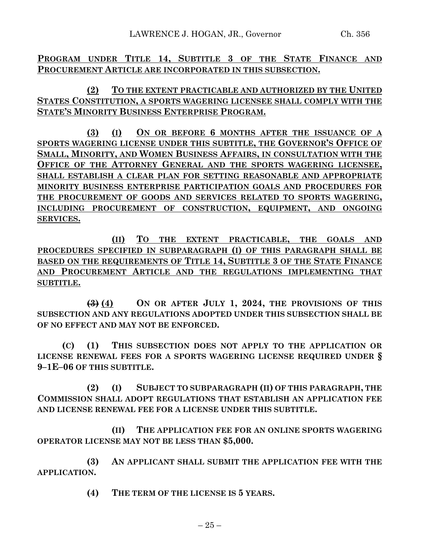**PROGRAM UNDER TITLE 14, SUBTITLE 3 OF THE STATE FINANCE AND PROCUREMENT ARTICLE ARE INCORPORATED IN THIS SUBSECTION.**

**(2) TO THE EXTENT PRACTICABLE AND AUTHORIZED BY THE UNITED STATES CONSTITUTION, A SPORTS WAGERING LICENSEE SHALL COMPLY WITH THE STATE'S MINORITY BUSINESS ENTERPRISE PROGRAM.**

**(3) (I) ON OR BEFORE 6 MONTHS AFTER THE ISSUANCE OF A SPORTS WAGERING LICENSE UNDER THIS SUBTITLE, THE GOVERNOR'S OFFICE OF SMALL, MINORITY, AND WOMEN BUSINESS AFFAIRS, IN CONSULTATION WITH THE OFFICE OF THE ATTORNEY GENERAL AND THE SPORTS WAGERING LICENSEE, SHALL ESTABLISH A CLEAR PLAN FOR SETTING REASONABLE AND APPROPRIATE MINORITY BUSINESS ENTERPRISE PARTICIPATION GOALS AND PROCEDURES FOR THE PROCUREMENT OF GOODS AND SERVICES RELATED TO SPORTS WAGERING, INCLUDING PROCUREMENT OF CONSTRUCTION, EQUIPMENT, AND ONGOING SERVICES.**

**(II) TO THE EXTENT PRACTICABLE, THE GOALS AND PROCEDURES SPECIFIED IN SUBPARAGRAPH (I) OF THIS PARAGRAPH SHALL BE BASED ON THE REQUIREMENTS OF TITLE 14, SUBTITLE 3 OF THE STATE FINANCE AND PROCUREMENT ARTICLE AND THE REGULATIONS IMPLEMENTING THAT SUBTITLE.**

**(3) (4) ON OR AFTER JULY 1, 2024, THE PROVISIONS OF THIS SUBSECTION AND ANY REGULATIONS ADOPTED UNDER THIS SUBSECTION SHALL BE OF NO EFFECT AND MAY NOT BE ENFORCED.**

**(C) (1) THIS SUBSECTION DOES NOT APPLY TO THE APPLICATION OR LICENSE RENEWAL FEES FOR A SPORTS WAGERING LICENSE REQUIRED UNDER § 9–1E–06 OF THIS SUBTITLE.**

**(2) (I) SUBJECT TO SUBPARAGRAPH (II) OF THIS PARAGRAPH, THE COMMISSION SHALL ADOPT REGULATIONS THAT ESTABLISH AN APPLICATION FEE AND LICENSE RENEWAL FEE FOR A LICENSE UNDER THIS SUBTITLE.**

**(II) THE APPLICATION FEE FOR AN ONLINE SPORTS WAGERING OPERATOR LICENSE MAY NOT BE LESS THAN \$5,000.**

**(3) AN APPLICANT SHALL SUBMIT THE APPLICATION FEE WITH THE APPLICATION.**

**(4) THE TERM OF THE LICENSE IS 5 YEARS.**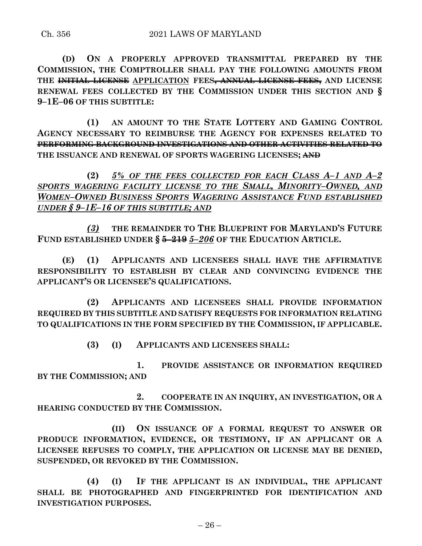**(D) ON A PROPERLY APPROVED TRANSMITTAL PREPARED BY THE COMMISSION, THE COMPTROLLER SHALL PAY THE FOLLOWING AMOUNTS FROM THE INITIAL LICENSE APPLICATION FEES, ANNUAL LICENSE FEES, AND LICENSE RENEWAL FEES COLLECTED BY THE COMMISSION UNDER THIS SECTION AND § 9–1E–06 OF THIS SUBTITLE:**

**(1) AN AMOUNT TO THE STATE LOTTERY AND GAMING CONTROL AGENCY NECESSARY TO REIMBURSE THE AGENCY FOR EXPENSES RELATED TO PERFORMING BACKGROUND INVESTIGATIONS AND OTHER ACTIVITIES RELATED TO THE ISSUANCE AND RENEWAL OF SPORTS WAGERING LICENSES; AND**

**(2)** *5% OF THE FEES COLLECTED FOR EACH CLASS A–1 AND A–2 SPORTS WAGERING FACILITY LICENSE TO THE SMALL, MINORITY–OWNED, AND WOMEN–OWNED BUSINESS SPORTS WAGERING ASSISTANCE FUND ESTABLISHED UNDER § 9–1E–16 OF THIS SUBTITLE; AND*

*(3)* **THE REMAINDER TO THE BLUEPRINT FOR MARYLAND'S FUTURE FUND ESTABLISHED UNDER § 5–219** *5–206* **OF THE EDUCATION ARTICLE.**

**(E) (1) APPLICANTS AND LICENSEES SHALL HAVE THE AFFIRMATIVE RESPONSIBILITY TO ESTABLISH BY CLEAR AND CONVINCING EVIDENCE THE APPLICANT'S OR LICENSEE'S QUALIFICATIONS.**

**(2) APPLICANTS AND LICENSEES SHALL PROVIDE INFORMATION REQUIRED BY THIS SUBTITLE AND SATISFY REQUESTS FOR INFORMATION RELATING TO QUALIFICATIONS IN THE FORM SPECIFIED BY THE COMMISSION, IF APPLICABLE.**

**(3) (I) APPLICANTS AND LICENSEES SHALL:**

**1. PROVIDE ASSISTANCE OR INFORMATION REQUIRED BY THE COMMISSION; AND**

**2. COOPERATE IN AN INQUIRY, AN INVESTIGATION, OR A HEARING CONDUCTED BY THE COMMISSION.**

**(II) ON ISSUANCE OF A FORMAL REQUEST TO ANSWER OR PRODUCE INFORMATION, EVIDENCE, OR TESTIMONY, IF AN APPLICANT OR A LICENSEE REFUSES TO COMPLY, THE APPLICATION OR LICENSE MAY BE DENIED, SUSPENDED, OR REVOKED BY THE COMMISSION.**

**(4) (I) IF THE APPLICANT IS AN INDIVIDUAL, THE APPLICANT SHALL BE PHOTOGRAPHED AND FINGERPRINTED FOR IDENTIFICATION AND INVESTIGATION PURPOSES.**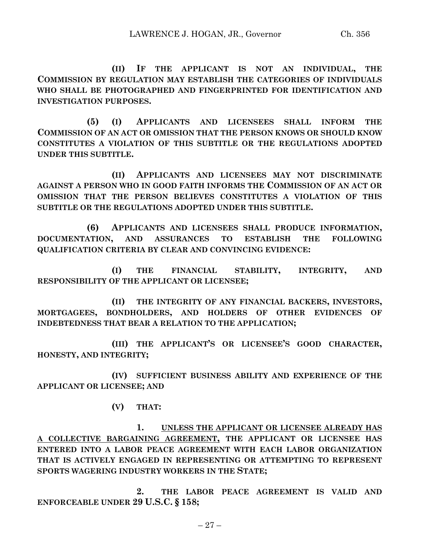**(II) IF THE APPLICANT IS NOT AN INDIVIDUAL, THE COMMISSION BY REGULATION MAY ESTABLISH THE CATEGORIES OF INDIVIDUALS WHO SHALL BE PHOTOGRAPHED AND FINGERPRINTED FOR IDENTIFICATION AND INVESTIGATION PURPOSES.**

**(5) (I) APPLICANTS AND LICENSEES SHALL INFORM THE COMMISSION OF AN ACT OR OMISSION THAT THE PERSON KNOWS OR SHOULD KNOW CONSTITUTES A VIOLATION OF THIS SUBTITLE OR THE REGULATIONS ADOPTED UNDER THIS SUBTITLE.**

**(II) APPLICANTS AND LICENSEES MAY NOT DISCRIMINATE AGAINST A PERSON WHO IN GOOD FAITH INFORMS THE COMMISSION OF AN ACT OR OMISSION THAT THE PERSON BELIEVES CONSTITUTES A VIOLATION OF THIS SUBTITLE OR THE REGULATIONS ADOPTED UNDER THIS SUBTITLE.**

**(6) APPLICANTS AND LICENSEES SHALL PRODUCE INFORMATION, DOCUMENTATION, AND ASSURANCES TO ESTABLISH THE FOLLOWING QUALIFICATION CRITERIA BY CLEAR AND CONVINCING EVIDENCE:**

**(I) THE FINANCIAL STABILITY, INTEGRITY, AND RESPONSIBILITY OF THE APPLICANT OR LICENSEE;**

**(II) THE INTEGRITY OF ANY FINANCIAL BACKERS, INVESTORS, MORTGAGEES, BONDHOLDERS, AND HOLDERS OF OTHER EVIDENCES OF INDEBTEDNESS THAT BEAR A RELATION TO THE APPLICATION;**

**(III) THE APPLICANT'S OR LICENSEE'S GOOD CHARACTER, HONESTY, AND INTEGRITY;**

**(IV) SUFFICIENT BUSINESS ABILITY AND EXPERIENCE OF THE APPLICANT OR LICENSEE; AND** 

**(V) THAT:**

**1. UNLESS THE APPLICANT OR LICENSEE ALREADY HAS A COLLECTIVE BARGAINING AGREEMENT, THE APPLICANT OR LICENSEE HAS ENTERED INTO A LABOR PEACE AGREEMENT WITH EACH LABOR ORGANIZATION THAT IS ACTIVELY ENGAGED IN REPRESENTING OR ATTEMPTING TO REPRESENT SPORTS WAGERING INDUSTRY WORKERS IN THE STATE;**

**2. THE LABOR PEACE AGREEMENT IS VALID AND ENFORCEABLE UNDER 29 U.S.C. § 158;**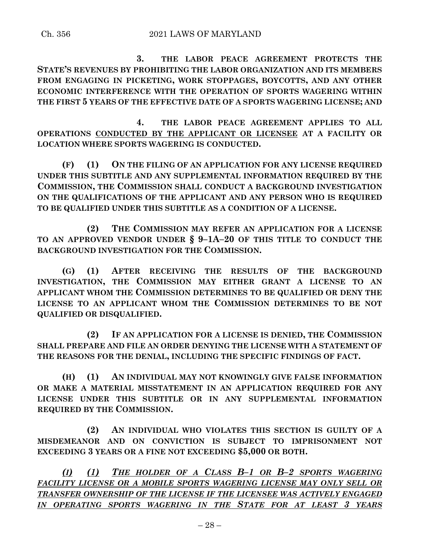**3. THE LABOR PEACE AGREEMENT PROTECTS THE STATE'S REVENUES BY PROHIBITING THE LABOR ORGANIZATION AND ITS MEMBERS FROM ENGAGING IN PICKETING, WORK STOPPAGES, BOYCOTTS, AND ANY OTHER ECONOMIC INTERFERENCE WITH THE OPERATION OF SPORTS WAGERING WITHIN THE FIRST 5 YEARS OF THE EFFECTIVE DATE OF A SPORTS WAGERING LICENSE; AND**

**4. THE LABOR PEACE AGREEMENT APPLIES TO ALL OPERATIONS CONDUCTED BY THE APPLICANT OR LICENSEE AT A FACILITY OR LOCATION WHERE SPORTS WAGERING IS CONDUCTED.**

**(F) (1) ON THE FILING OF AN APPLICATION FOR ANY LICENSE REQUIRED UNDER THIS SUBTITLE AND ANY SUPPLEMENTAL INFORMATION REQUIRED BY THE COMMISSION, THE COMMISSION SHALL CONDUCT A BACKGROUND INVESTIGATION ON THE QUALIFICATIONS OF THE APPLICANT AND ANY PERSON WHO IS REQUIRED TO BE QUALIFIED UNDER THIS SUBTITLE AS A CONDITION OF A LICENSE.**

**(2) THE COMMISSION MAY REFER AN APPLICATION FOR A LICENSE TO AN APPROVED VENDOR UNDER § 9–1A–20 OF THIS TITLE TO CONDUCT THE BACKGROUND INVESTIGATION FOR THE COMMISSION.**

**(G) (1) AFTER RECEIVING THE RESULTS OF THE BACKGROUND INVESTIGATION, THE COMMISSION MAY EITHER GRANT A LICENSE TO AN APPLICANT WHOM THE COMMISSION DETERMINES TO BE QUALIFIED OR DENY THE LICENSE TO AN APPLICANT WHOM THE COMMISSION DETERMINES TO BE NOT QUALIFIED OR DISQUALIFIED.**

**(2) IF AN APPLICATION FOR A LICENSE IS DENIED, THE COMMISSION SHALL PREPARE AND FILE AN ORDER DENYING THE LICENSE WITH A STATEMENT OF THE REASONS FOR THE DENIAL, INCLUDING THE SPECIFIC FINDINGS OF FACT.**

**(H) (1) AN INDIVIDUAL MAY NOT KNOWINGLY GIVE FALSE INFORMATION OR MAKE A MATERIAL MISSTATEMENT IN AN APPLICATION REQUIRED FOR ANY LICENSE UNDER THIS SUBTITLE OR IN ANY SUPPLEMENTAL INFORMATION REQUIRED BY THE COMMISSION.**

**(2) AN INDIVIDUAL WHO VIOLATES THIS SECTION IS GUILTY OF A MISDEMEANOR AND ON CONVICTION IS SUBJECT TO IMPRISONMENT NOT EXCEEDING 3 YEARS OR A FINE NOT EXCEEDING \$5,000 OR BOTH.**

*(I) (1) THE HOLDER OF A CLASS B–1 OR B–2 SPORTS WAGERING FACILITY LICENSE OR A MOBILE SPORTS WAGERING LICENSE MAY ONLY SELL OR TRANSFER OWNERSHIP OF THE LICENSE IF THE LICENSEE WAS ACTIVELY ENGAGED IN OPERATING SPORTS WAGERING IN THE STATE FOR AT LEAST 3 YEARS*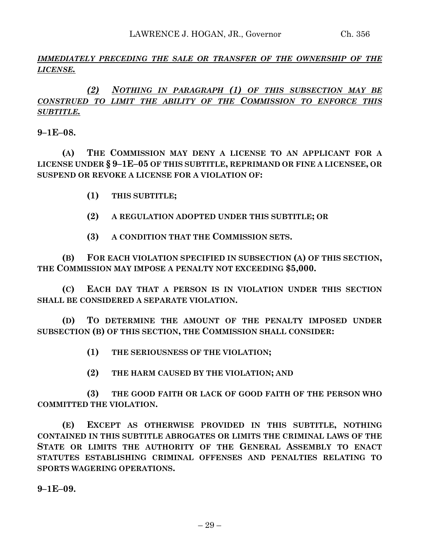## *IMMEDIATELY PRECEDING THE SALE OR TRANSFER OF THE OWNERSHIP OF THE LICENSE.*

# *(2) NOTHING IN PARAGRAPH (1) OF THIS SUBSECTION MAY BE CONSTRUED TO LIMIT THE ABILITY OF THE COMMISSION TO ENFORCE THIS SUBTITLE.*

**9–1E–08.**

**(A) THE COMMISSION MAY DENY A LICENSE TO AN APPLICANT FOR A LICENSE UNDER § 9–1E–05 OF THIS SUBTITLE, REPRIMAND OR FINE A LICENSEE, OR SUSPEND OR REVOKE A LICENSE FOR A VIOLATION OF:**

- **(1) THIS SUBTITLE;**
- **(2) A REGULATION ADOPTED UNDER THIS SUBTITLE; OR**
- **(3) A CONDITION THAT THE COMMISSION SETS.**

**(B) FOR EACH VIOLATION SPECIFIED IN SUBSECTION (A) OF THIS SECTION, THE COMMISSION MAY IMPOSE A PENALTY NOT EXCEEDING \$5,000.**

**(C) EACH DAY THAT A PERSON IS IN VIOLATION UNDER THIS SECTION SHALL BE CONSIDERED A SEPARATE VIOLATION.**

**(D) TO DETERMINE THE AMOUNT OF THE PENALTY IMPOSED UNDER SUBSECTION (B) OF THIS SECTION, THE COMMISSION SHALL CONSIDER:**

- **(1) THE SERIOUSNESS OF THE VIOLATION;**
- **(2) THE HARM CAUSED BY THE VIOLATION; AND**

**(3) THE GOOD FAITH OR LACK OF GOOD FAITH OF THE PERSON WHO COMMITTED THE VIOLATION.**

**(E) EXCEPT AS OTHERWISE PROVIDED IN THIS SUBTITLE, NOTHING CONTAINED IN THIS SUBTITLE ABROGATES OR LIMITS THE CRIMINAL LAWS OF THE STATE OR LIMITS THE AUTHORITY OF THE GENERAL ASSEMBLY TO ENACT STATUTES ESTABLISHING CRIMINAL OFFENSES AND PENALTIES RELATING TO SPORTS WAGERING OPERATIONS.**

**9–1E–09.**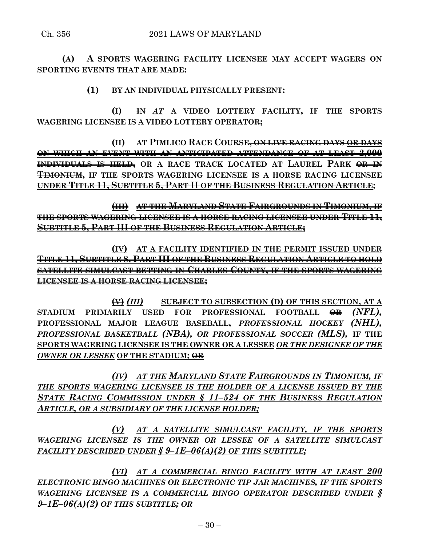**(A) A SPORTS WAGERING FACILITY LICENSEE MAY ACCEPT WAGERS ON SPORTING EVENTS THAT ARE MADE:**

**(1) BY AN INDIVIDUAL PHYSICALLY PRESENT:**

**(I) IN** *AT* **A VIDEO LOTTERY FACILITY, IF THE SPORTS WAGERING LICENSEE IS A VIDEO LOTTERY OPERATOR;**

**(II) AT PIMLICO RACE COURSE, ON LIVE RACING DAYS OR DAYS ON WHICH AN EVENT WITH AN ANTICIPATED ATTENDANCE OF AT LEAST 2,000 INDIVIDUALS IS HELD**<sup>,</sup> OR A RACE TRACK LOCATED AT LAUREL PARK OR IN **TIMONIUM, IF THE SPORTS WAGERING LICENSEE IS A HORSE RACING LICENSEE UNDER TITLE 11, SUBTITLE 5, PART II OF THE BUSINESS REGULATION ARTICLE;**

**(III) AT THE MARYLAND STATE FAIRGROUNDS IN TIMONIUM, IF THE SPORTS WAGERING LICENSEE IS A HORSE RACING LICENSEE UNDER TITLE 11, SUBTITLE 5, PART III OF THE BUSINESS REGULATION ARTICLE;**

**(IV) AT A FACILITY IDENTIFIED IN THE PERMIT ISSUED UNDER TITLE 11, SUBTITLE 8, PART III OF THE BUSINESS REGULATION ARTICLE TO HOLD SATELLITE SIMULCAST BETTING IN CHARLES COUNTY, IF THE SPORTS WAGERING LICENSEE IS A HORSE RACING LICENSEE;**

**(V)** *(III)* **SUBJECT TO SUBSECTION (D) OF THIS SECTION, AT A STADIUM PRIMARILY USED FOR PROFESSIONAL FOOTBALL OR** *(NFL),* **PROFESSIONAL MAJOR LEAGUE BASEBALL,** *PROFESSIONAL HOCKEY (NHL), PROFESSIONAL BASKETBALL (NBA), OR PROFESSIONAL SOCCER (MLS),* **IF THE SPORTS WAGERING LICENSEE IS THE OWNER OR A LESSEE** *OR THE DESIGNEE OF THE OWNER OR LESSEE* **OF THE STADIUM; OR**

*(IV) AT THE MARYLAND STATE FAIRGROUNDS IN TIMONIUM, IF THE SPORTS WAGERING LICENSEE IS THE HOLDER OF A LICENSE ISSUED BY THE STATE RACING COMMISSION UNDER § 11–524 OF THE BUSINESS REGULATION ARTICLE, OR A SUBSIDIARY OF THE LICENSE HOLDER;*

*(V) AT A SATELLITE SIMULCAST FACILITY, IF THE SPORTS WAGERING LICENSEE IS THE OWNER OR LESSEE OF A SATELLITE SIMULCAST FACILITY DESCRIBED UNDER § 9–1E–06(A)(2) OF THIS SUBTITLE;*

*(VI) AT A COMMERCIAL BINGO FACILITY WITH AT LEAST 200 ELECTRONIC BINGO MACHINES OR ELECTRONIC TIP JAR MACHINES, IF THE SPORTS WAGERING LICENSEE IS A COMMERCIAL BINGO OPERATOR DESCRIBED UNDER § 9–1E–06(A)(2) OF THIS SUBTITLE; OR*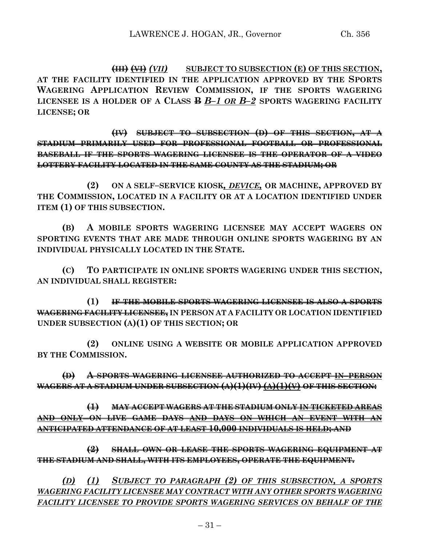**(III) (VI)** *(VII)* **SUBJECT TO SUBSECTION (E) OF THIS SECTION, AT THE FACILITY IDENTIFIED IN THE APPLICATION APPROVED BY THE SPORTS WAGERING APPLICATION REVIEW COMMISSION, IF THE SPORTS WAGERING LICENSEE IS A HOLDER OF A CLASS B** *B–1 OR B–2* **SPORTS WAGERING FACILITY LICENSE; OR**

**(IV) SUBJECT TO SUBSECTION (D) OF THIS SECTION, AT A STADIUM PRIMARILY USED FOR PROFESSIONAL FOOTBALL OR PROFESSIONAL BASEBALL IF THE SPORTS WAGERING LICENSEE IS THE OPERATOR OF A VIDEO LOTTERY FACILITY LOCATED IN THE SAME COUNTY AS THE STADIUM; OR**

**(2) ON A SELF–SERVICE KIOSK***, DEVICE,* **OR MACHINE, APPROVED BY THE COMMISSION, LOCATED IN A FACILITY OR AT A LOCATION IDENTIFIED UNDER ITEM (1) OF THIS SUBSECTION.**

**(B) A MOBILE SPORTS WAGERING LICENSEE MAY ACCEPT WAGERS ON SPORTING EVENTS THAT ARE MADE THROUGH ONLINE SPORTS WAGERING BY AN INDIVIDUAL PHYSICALLY LOCATED IN THE STATE.**

**(C) TO PARTICIPATE IN ONLINE SPORTS WAGERING UNDER THIS SECTION, AN INDIVIDUAL SHALL REGISTER:**

**(1) IF THE MOBILE SPORTS WAGERING LICENSEE IS ALSO A SPORTS WAGERING FACILITY LICENSEE, IN PERSON AT A FACILITY OR LOCATION IDENTIFIED UNDER SUBSECTION (A)(1) OF THIS SECTION; OR** 

**(2) ONLINE USING A WEBSITE OR MOBILE APPLICATION APPROVED BY THE COMMISSION.**

**(D) A SPORTS WAGERING LICENSEE AUTHORIZED TO ACCEPT IN–PERSON WAGERS AT A STADIUM UNDER SUBSECTION (A)(1)(IV) (A)(1)(V) OF THIS SECTION:**

**(1) MAY ACCEPT WAGERS AT THE STADIUM ONLY IN TICKETED AREAS AND ONLY ON LIVE GAME DAYS AND DAYS ON WHICH AN EVENT WITH AN ANTICIPATED ATTENDANCE OF AT LEAST 10,000 INDIVIDUALS IS HELD; AND**

**(2) SHALL OWN OR LEASE THE SPORTS WAGERING EQUIPMENT AT THE STADIUM AND SHALL, WITH ITS EMPLOYEES, OPERATE THE EQUIPMENT.**

*(D) (1) SUBJECT TO PARAGRAPH (2) OF THIS SUBSECTION, A SPORTS WAGERING FACILITY LICENSEE MAY CONTRACT WITH ANY OTHER SPORTS WAGERING FACILITY LICENSEE TO PROVIDE SPORTS WAGERING SERVICES ON BEHALF OF THE*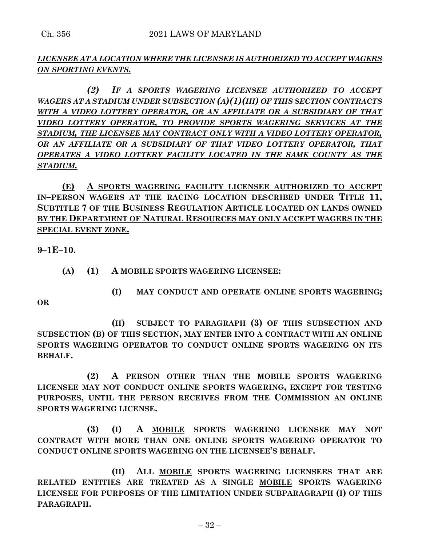## *LICENSEE AT A LOCATION WHERE THE LICENSEE IS AUTHORIZED TO ACCEPT WAGERS ON SPORTING EVENTS.*

*(2) IF A SPORTS WAGERING LICENSEE AUTHORIZED TO ACCEPT WAGERS AT A STADIUM UNDER SUBSECTION (A)(1)(III) OF THIS SECTION CONTRACTS WITH A VIDEO LOTTERY OPERATOR, OR AN AFFILIATE OR A SUBSIDIARY OF THAT VIDEO LOTTERY OPERATOR, TO PROVIDE SPORTS WAGERING SERVICES AT THE STADIUM, THE LICENSEE MAY CONTRACT ONLY WITH A VIDEO LOTTERY OPERATOR, OR AN AFFILIATE OR A SUBSIDIARY OF THAT VIDEO LOTTERY OPERATOR, THAT OPERATES A VIDEO LOTTERY FACILITY LOCATED IN THE SAME COUNTY AS THE STADIUM.*

**(E) A SPORTS WAGERING FACILITY LICENSEE AUTHORIZED TO ACCEPT IN–PERSON WAGERS AT THE RACING LOCATION DESCRIBED UNDER TITLE 11, SUBTITLE 7 OF THE BUSINESS REGULATION ARTICLE LOCATED ON LANDS OWNED BY THE DEPARTMENT OF NATURAL RESOURCES MAY ONLY ACCEPT WAGERS IN THE SPECIAL EVENT ZONE.**

**9–1E–10.**

- **(A) (1) A MOBILE SPORTS WAGERING LICENSEE:**
	- **(I) MAY CONDUCT AND OPERATE ONLINE SPORTS WAGERING;**

**OR**

**(II) SUBJECT TO PARAGRAPH (3) OF THIS SUBSECTION AND SUBSECTION (B) OF THIS SECTION, MAY ENTER INTO A CONTRACT WITH AN ONLINE SPORTS WAGERING OPERATOR TO CONDUCT ONLINE SPORTS WAGERING ON ITS BEHALF.**

**(2) A PERSON OTHER THAN THE MOBILE SPORTS WAGERING LICENSEE MAY NOT CONDUCT ONLINE SPORTS WAGERING, EXCEPT FOR TESTING PURPOSES, UNTIL THE PERSON RECEIVES FROM THE COMMISSION AN ONLINE SPORTS WAGERING LICENSE.**

**(3) (I) A MOBILE SPORTS WAGERING LICENSEE MAY NOT CONTRACT WITH MORE THAN ONE ONLINE SPORTS WAGERING OPERATOR TO CONDUCT ONLINE SPORTS WAGERING ON THE LICENSEE'S BEHALF.**

**(II) ALL MOBILE SPORTS WAGERING LICENSEES THAT ARE RELATED ENTITIES ARE TREATED AS A SINGLE MOBILE SPORTS WAGERING LICENSEE FOR PURPOSES OF THE LIMITATION UNDER SUBPARAGRAPH (I) OF THIS PARAGRAPH.**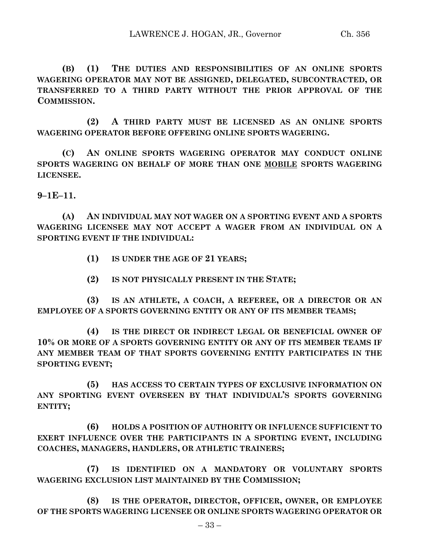**(B) (1) THE DUTIES AND RESPONSIBILITIES OF AN ONLINE SPORTS WAGERING OPERATOR MAY NOT BE ASSIGNED, DELEGATED, SUBCONTRACTED, OR TRANSFERRED TO A THIRD PARTY WITHOUT THE PRIOR APPROVAL OF THE COMMISSION.**

**(2) A THIRD PARTY MUST BE LICENSED AS AN ONLINE SPORTS WAGERING OPERATOR BEFORE OFFERING ONLINE SPORTS WAGERING.**

**(C) AN ONLINE SPORTS WAGERING OPERATOR MAY CONDUCT ONLINE SPORTS WAGERING ON BEHALF OF MORE THAN ONE MOBILE SPORTS WAGERING LICENSEE.**

**9–1E–11.**

**(A) AN INDIVIDUAL MAY NOT WAGER ON A SPORTING EVENT AND A SPORTS WAGERING LICENSEE MAY NOT ACCEPT A WAGER FROM AN INDIVIDUAL ON A SPORTING EVENT IF THE INDIVIDUAL:**

**(1) IS UNDER THE AGE OF 21 YEARS;**

**(2) IS NOT PHYSICALLY PRESENT IN THE STATE;**

**(3) IS AN ATHLETE, A COACH, A REFEREE, OR A DIRECTOR OR AN EMPLOYEE OF A SPORTS GOVERNING ENTITY OR ANY OF ITS MEMBER TEAMS;**

**(4) IS THE DIRECT OR INDIRECT LEGAL OR BENEFICIAL OWNER OF 10% OR MORE OF A SPORTS GOVERNING ENTITY OR ANY OF ITS MEMBER TEAMS IF ANY MEMBER TEAM OF THAT SPORTS GOVERNING ENTITY PARTICIPATES IN THE SPORTING EVENT;**

**(5) HAS ACCESS TO CERTAIN TYPES OF EXCLUSIVE INFORMATION ON ANY SPORTING EVENT OVERSEEN BY THAT INDIVIDUAL'S SPORTS GOVERNING ENTITY;**

**(6) HOLDS A POSITION OF AUTHORITY OR INFLUENCE SUFFICIENT TO EXERT INFLUENCE OVER THE PARTICIPANTS IN A SPORTING EVENT, INCLUDING COACHES, MANAGERS, HANDLERS, OR ATHLETIC TRAINERS;**

**(7) IS IDENTIFIED ON A MANDATORY OR VOLUNTARY SPORTS WAGERING EXCLUSION LIST MAINTAINED BY THE COMMISSION;**

**(8) IS THE OPERATOR, DIRECTOR, OFFICER, OWNER, OR EMPLOYEE OF THE SPORTS WAGERING LICENSEE OR ONLINE SPORTS WAGERING OPERATOR OR**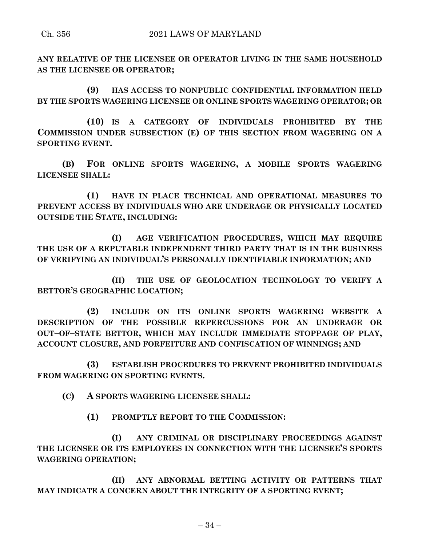**ANY RELATIVE OF THE LICENSEE OR OPERATOR LIVING IN THE SAME HOUSEHOLD AS THE LICENSEE OR OPERATOR;**

**(9) HAS ACCESS TO NONPUBLIC CONFIDENTIAL INFORMATION HELD BY THE SPORTS WAGERING LICENSEE OR ONLINE SPORTS WAGERING OPERATOR; OR**

**(10) IS A CATEGORY OF INDIVIDUALS PROHIBITED BY THE COMMISSION UNDER SUBSECTION (E) OF THIS SECTION FROM WAGERING ON A SPORTING EVENT.**

**(B) FOR ONLINE SPORTS WAGERING, A MOBILE SPORTS WAGERING LICENSEE SHALL:**

**(1) HAVE IN PLACE TECHNICAL AND OPERATIONAL MEASURES TO PREVENT ACCESS BY INDIVIDUALS WHO ARE UNDERAGE OR PHYSICALLY LOCATED OUTSIDE THE STATE, INCLUDING:**

**(I) AGE VERIFICATION PROCEDURES, WHICH MAY REQUIRE THE USE OF A REPUTABLE INDEPENDENT THIRD PARTY THAT IS IN THE BUSINESS OF VERIFYING AN INDIVIDUAL'S PERSONALLY IDENTIFIABLE INFORMATION; AND**

**(II) THE USE OF GEOLOCATION TECHNOLOGY TO VERIFY A BETTOR'S GEOGRAPHIC LOCATION;**

**(2) INCLUDE ON ITS ONLINE SPORTS WAGERING WEBSITE A DESCRIPTION OF THE POSSIBLE REPERCUSSIONS FOR AN UNDERAGE OR OUT–OF–STATE BETTOR, WHICH MAY INCLUDE IMMEDIATE STOPPAGE OF PLAY, ACCOUNT CLOSURE, AND FORFEITURE AND CONFISCATION OF WINNINGS; AND**

**(3) ESTABLISH PROCEDURES TO PREVENT PROHIBITED INDIVIDUALS FROM WAGERING ON SPORTING EVENTS.**

**(C) A SPORTS WAGERING LICENSEE SHALL:**

**(1) PROMPTLY REPORT TO THE COMMISSION:**

**(I) ANY CRIMINAL OR DISCIPLINARY PROCEEDINGS AGAINST THE LICENSEE OR ITS EMPLOYEES IN CONNECTION WITH THE LICENSEE'S SPORTS WAGERING OPERATION;**

**(II) ANY ABNORMAL BETTING ACTIVITY OR PATTERNS THAT MAY INDICATE A CONCERN ABOUT THE INTEGRITY OF A SPORTING EVENT;**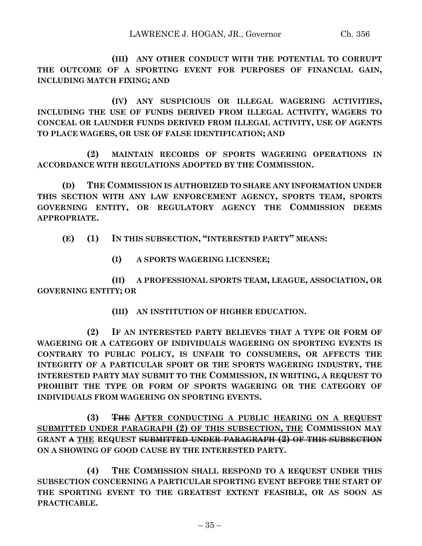**(III) ANY OTHER CONDUCT WITH THE POTENTIAL TO CORRUPT THE OUTCOME OF A SPORTING EVENT FOR PURPOSES OF FINANCIAL GAIN, INCLUDING MATCH FIXING; AND**

**(IV) ANY SUSPICIOUS OR ILLEGAL WAGERING ACTIVITIES, INCLUDING THE USE OF FUNDS DERIVED FROM ILLEGAL ACTIVITY, WAGERS TO CONCEAL OR LAUNDER FUNDS DERIVED FROM ILLEGAL ACTIVITY, USE OF AGENTS TO PLACE WAGERS, OR USE OF FALSE IDENTIFICATION; AND**

**(2) MAINTAIN RECORDS OF SPORTS WAGERING OPERATIONS IN ACCORDANCE WITH REGULATIONS ADOPTED BY THE COMMISSION.**

**(D) THE COMMISSION IS AUTHORIZED TO SHARE ANY INFORMATION UNDER THIS SECTION WITH ANY LAW ENFORCEMENT AGENCY, SPORTS TEAM, SPORTS GOVERNING ENTITY, OR REGULATORY AGENCY THE COMMISSION DEEMS APPROPRIATE.**

**(E) (1) IN THIS SUBSECTION, "INTERESTED PARTY" MEANS:**

**(I) A SPORTS WAGERING LICENSEE;**

**(II) A PROFESSIONAL SPORTS TEAM, LEAGUE, ASSOCIATION, OR GOVERNING ENTITY; OR** 

**(III) AN INSTITUTION OF HIGHER EDUCATION.**

**(2) IF AN INTERESTED PARTY BELIEVES THAT A TYPE OR FORM OF WAGERING OR A CATEGORY OF INDIVIDUALS WAGERING ON SPORTING EVENTS IS CONTRARY TO PUBLIC POLICY, IS UNFAIR TO CONSUMERS, OR AFFECTS THE INTEGRITY OF A PARTICULAR SPORT OR THE SPORTS WAGERING INDUSTRY, THE INTERESTED PARTY MAY SUBMIT TO THE COMMISSION, IN WRITING, A REQUEST TO PROHIBIT THE TYPE OR FORM OF SPORTS WAGERING OR THE CATEGORY OF INDIVIDUALS FROM WAGERING ON SPORTING EVENTS.**

**(3) THE AFTER CONDUCTING A PUBLIC HEARING ON A REQUEST SUBMITTED UNDER PARAGRAPH (2) OF THIS SUBSECTION, THE COMMISSION MAY GRANT A THE REQUEST SUBMITTED UNDER PARAGRAPH (2) OF THIS SUBSECTION ON A SHOWING OF GOOD CAUSE BY THE INTERESTED PARTY.**

**(4) THE COMMISSION SHALL RESPOND TO A REQUEST UNDER THIS SUBSECTION CONCERNING A PARTICULAR SPORTING EVENT BEFORE THE START OF THE SPORTING EVENT TO THE GREATEST EXTENT FEASIBLE, OR AS SOON AS PRACTICABLE.**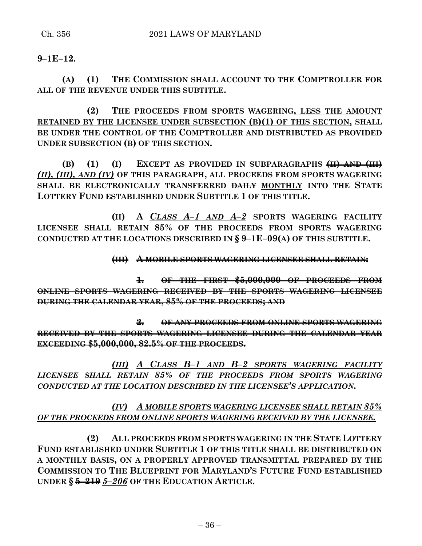## **9–1E–12.**

**(A) (1) THE COMMISSION SHALL ACCOUNT TO THE COMPTROLLER FOR ALL OF THE REVENUE UNDER THIS SUBTITLE.**

**(2) THE PROCEEDS FROM SPORTS WAGERING, LESS THE AMOUNT RETAINED BY THE LICENSEE UNDER SUBSECTION (B)(1) OF THIS SECTION, SHALL BE UNDER THE CONTROL OF THE COMPTROLLER AND DISTRIBUTED AS PROVIDED UNDER SUBSECTION (B) OF THIS SECTION.**

**(B) (1) (I) EXCEPT AS PROVIDED IN SUBPARAGRAPHS (II) AND (III)** *(II), (III), AND (IV)* **OF THIS PARAGRAPH, ALL PROCEEDS FROM SPORTS WAGERING SHALL BE ELECTRONICALLY TRANSFERRED DAILY MONTHLY INTO THE STATE LOTTERY FUND ESTABLISHED UNDER SUBTITLE 1 OF THIS TITLE.**

**(II) A** *CLASS A–1 AND A–2* **SPORTS WAGERING FACILITY LICENSEE SHALL RETAIN 85% OF THE PROCEEDS FROM SPORTS WAGERING CONDUCTED AT THE LOCATIONS DESCRIBED IN § 9–1E–09(A) OF THIS SUBTITLE.**

**(III) A MOBILE SPORTS WAGERING LICENSEE SHALL RETAIN:**

**1. OF THE FIRST \$5,000,000 OF PROCEEDS FROM ONLINE SPORTS WAGERING RECEIVED BY THE SPORTS WAGERING LICENSEE DURING THE CALENDAR YEAR, 85% OF THE PROCEEDS; AND**

**2. OF ANY PROCEEDS FROM ONLINE SPORTS WAGERING RECEIVED BY THE SPORTS WAGERING LICENSEE DURING THE CALENDAR YEAR EXCEEDING \$5,000,000, 82.5% OF THE PROCEEDS.**

*(III) A CLASS B–1 AND B–2 SPORTS WAGERING FACILITY LICENSEE SHALL RETAIN 85% OF THE PROCEEDS FROM SPORTS WAGERING CONDUCTED AT THE LOCATION DESCRIBED IN THE LICENSEE'S APPLICATION.*

# *(IV) A MOBILE SPORTS WAGERING LICENSEE SHALL RETAIN 85% OF THE PROCEEDS FROM ONLINE SPORTS WAGERING RECEIVED BY THE LICENSEE.*

**(2) ALL PROCEEDS FROM SPORTS WAGERING IN THE STATE LOTTERY FUND ESTABLISHED UNDER SUBTITLE 1 OF THIS TITLE SHALL BE DISTRIBUTED ON A MONTHLY BASIS, ON A PROPERLY APPROVED TRANSMITTAL PREPARED BY THE COMMISSION TO THE BLUEPRINT FOR MARYLAND'S FUTURE FUND ESTABLISHED UNDER § 5–219** *5–206* **OF THE EDUCATION ARTICLE.**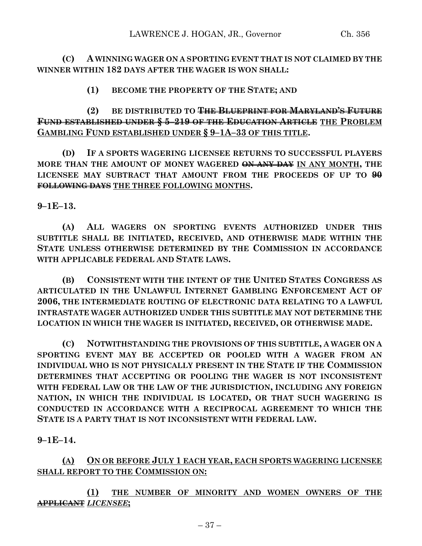**(C) A WINNING WAGER ON A SPORTING EVENT THAT IS NOT CLAIMED BY THE WINNER WITHIN 182 DAYS AFTER THE WAGER IS WON SHALL:**

**(1) BECOME THE PROPERTY OF THE STATE; AND**

**(2) BE DISTRIBUTED TO THE BLUEPRINT FOR MARYLAND'S FUTURE FUND ESTABLISHED UNDER § 5–219 OF THE EDUCATION ARTICLE THE PROBLEM GAMBLING FUND ESTABLISHED UNDER § 9–1A–33 OF THIS TITLE.**

**(D) IF A SPORTS WAGERING LICENSEE RETURNS TO SUCCESSFUL PLAYERS MORE THAN THE AMOUNT OF MONEY WAGERED ON ANY DAY IN ANY MONTH, THE LICENSEE MAY SUBTRACT THAT AMOUNT FROM THE PROCEEDS OF UP TO 90 FOLLOWING DAYS THE THREE FOLLOWING MONTHS.**

**9–1E–13.**

**(A) ALL WAGERS ON SPORTING EVENTS AUTHORIZED UNDER THIS SUBTITLE SHALL BE INITIATED, RECEIVED, AND OTHERWISE MADE WITHIN THE STATE UNLESS OTHERWISE DETERMINED BY THE COMMISSION IN ACCORDANCE WITH APPLICABLE FEDERAL AND STATE LAWS.**

**(B) CONSISTENT WITH THE INTENT OF THE UNITED STATES CONGRESS AS ARTICULATED IN THE UNLAWFUL INTERNET GAMBLING ENFORCEMENT ACT OF 2006, THE INTERMEDIATE ROUTING OF ELECTRONIC DATA RELATING TO A LAWFUL INTRASTATE WAGER AUTHORIZED UNDER THIS SUBTITLE MAY NOT DETERMINE THE LOCATION IN WHICH THE WAGER IS INITIATED, RECEIVED, OR OTHERWISE MADE.**

**(C) NOTWITHSTANDING THE PROVISIONS OF THIS SUBTITLE, A WAGER ON A SPORTING EVENT MAY BE ACCEPTED OR POOLED WITH A WAGER FROM AN INDIVIDUAL WHO IS NOT PHYSICALLY PRESENT IN THE STATE IF THE COMMISSION DETERMINES THAT ACCEPTING OR POOLING THE WAGER IS NOT INCONSISTENT WITH FEDERAL LAW OR THE LAW OF THE JURISDICTION, INCLUDING ANY FOREIGN NATION, IN WHICH THE INDIVIDUAL IS LOCATED, OR THAT SUCH WAGERING IS CONDUCTED IN ACCORDANCE WITH A RECIPROCAL AGREEMENT TO WHICH THE STATE IS A PARTY THAT IS NOT INCONSISTENT WITH FEDERAL LAW.**

**9–1E–14.**

**(A) ON OR BEFORE JULY 1 EACH YEAR, EACH SPORTS WAGERING LICENSEE SHALL REPORT TO THE COMMISSION ON:**

**(1) THE NUMBER OF MINORITY AND WOMEN OWNERS OF THE APPLICANT** *LICENSEE***;**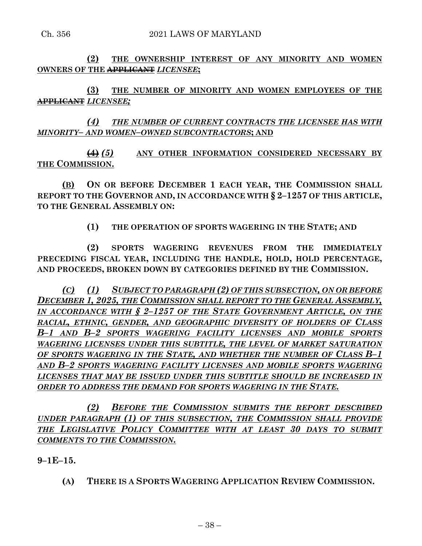**(2) THE OWNERSHIP INTEREST OF ANY MINORITY AND WOMEN OWNERS OF THE APPLICANT** *LICENSEE***;**

**(3) THE NUMBER OF MINORITY AND WOMEN EMPLOYEES OF THE APPLICANT** *LICENSEE;*

*(4) THE NUMBER OF CURRENT CONTRACTS THE LICENSEE HAS WITH MINORITY– AND WOMEN–OWNED SUBCONTRACTORS***; AND**

**(4)** *(5)* **ANY OTHER INFORMATION CONSIDERED NECESSARY BY THE COMMISSION.**

**(B) ON OR BEFORE DECEMBER 1 EACH YEAR, THE COMMISSION SHALL REPORT TO THE GOVERNOR AND, IN ACCORDANCE WITH § 2–1257 OF THIS ARTICLE, TO THE GENERAL ASSEMBLY ON:**

**(1) THE OPERATION OF SPORTS WAGERING IN THE STATE; AND**

**(2) SPORTS WAGERING REVENUES FROM THE IMMEDIATELY PRECEDING FISCAL YEAR, INCLUDING THE HANDLE, HOLD, HOLD PERCENTAGE, AND PROCEEDS, BROKEN DOWN BY CATEGORIES DEFINED BY THE COMMISSION.**

*(C) (1) SUBJECT TO PARAGRAPH (2) OF THIS SUBSECTION, ON OR BEFORE DECEMBER 1, 2025, THE COMMISSION SHALL REPORT TO THE GENERAL ASSEMBLY, IN ACCORDANCE WITH § 2–1257 OF THE STATE GOVERNMENT ARTICLE, ON THE RACIAL, ETHNIC, GENDER, AND GEOGRAPHIC DIVERSITY OF HOLDERS OF CLASS B–1 AND B–2 SPORTS WAGERING FACILITY LICENSES AND MOBILE SPORTS WAGERING LICENSES UNDER THIS SUBTITLE, THE LEVEL OF MARKET SATURATION OF SPORTS WAGERING IN THE STATE, AND WHETHER THE NUMBER OF CLASS B–1 AND B–2 SPORTS WAGERING FACILITY LICENSES AND MOBILE SPORTS WAGERING LICENSES THAT MAY BE ISSUED UNDER THIS SUBTITLE SHOULD BE INCREASED IN ORDER TO ADDRESS THE DEMAND FOR SPORTS WAGERING IN THE STATE.*

*(2) BEFORE THE COMMISSION SUBMITS THE REPORT DESCRIBED UNDER PARAGRAPH (1) OF THIS SUBSECTION, THE COMMISSION SHALL PROVIDE THE LEGISLATIVE POLICY COMMITTEE WITH AT LEAST 30 DAYS TO SUBMIT COMMENTS TO THE COMMISSION.*

**9–1E–15.**

**(A) THERE IS A SPORTS WAGERING APPLICATION REVIEW COMMISSION.**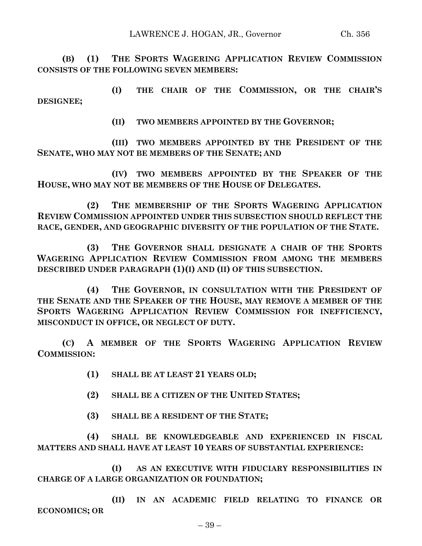**(B) (1) THE SPORTS WAGERING APPLICATION REVIEW COMMISSION CONSISTS OF THE FOLLOWING SEVEN MEMBERS:**

**(I) THE CHAIR OF THE COMMISSION, OR THE CHAIR'S DESIGNEE;**

**(II) TWO MEMBERS APPOINTED BY THE GOVERNOR;**

**(III) TWO MEMBERS APPOINTED BY THE PRESIDENT OF THE SENATE, WHO MAY NOT BE MEMBERS OF THE SENATE; AND**

**(IV) TWO MEMBERS APPOINTED BY THE SPEAKER OF THE HOUSE, WHO MAY NOT BE MEMBERS OF THE HOUSE OF DELEGATES.**

**(2) THE MEMBERSHIP OF THE SPORTS WAGERING APPLICATION REVIEW COMMISSION APPOINTED UNDER THIS SUBSECTION SHOULD REFLECT THE RACE, GENDER, AND GEOGRAPHIC DIVERSITY OF THE POPULATION OF THE STATE.**

**(3) THE GOVERNOR SHALL DESIGNATE A CHAIR OF THE SPORTS WAGERING APPLICATION REVIEW COMMISSION FROM AMONG THE MEMBERS DESCRIBED UNDER PARAGRAPH (1)(I) AND (II) OF THIS SUBSECTION.**

**(4) THE GOVERNOR, IN CONSULTATION WITH THE PRESIDENT OF THE SENATE AND THE SPEAKER OF THE HOUSE, MAY REMOVE A MEMBER OF THE SPORTS WAGERING APPLICATION REVIEW COMMISSION FOR INEFFICIENCY, MISCONDUCT IN OFFICE, OR NEGLECT OF DUTY.**

**(C) A MEMBER OF THE SPORTS WAGERING APPLICATION REVIEW COMMISSION:**

- **(1) SHALL BE AT LEAST 21 YEARS OLD;**
- **(2) SHALL BE A CITIZEN OF THE UNITED STATES;**
- **(3) SHALL BE A RESIDENT OF THE STATE;**

**(4) SHALL BE KNOWLEDGEABLE AND EXPERIENCED IN FISCAL MATTERS AND SHALL HAVE AT LEAST 10 YEARS OF SUBSTANTIAL EXPERIENCE:**

**(I) AS AN EXECUTIVE WITH FIDUCIARY RESPONSIBILITIES IN CHARGE OF A LARGE ORGANIZATION OR FOUNDATION;**

**(II) IN AN ACADEMIC FIELD RELATING TO FINANCE OR ECONOMICS; OR**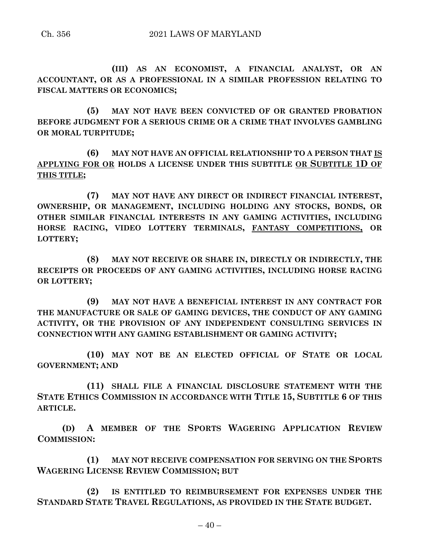**(III) AS AN ECONOMIST, A FINANCIAL ANALYST, OR AN ACCOUNTANT, OR AS A PROFESSIONAL IN A SIMILAR PROFESSION RELATING TO FISCAL MATTERS OR ECONOMICS;**

**(5) MAY NOT HAVE BEEN CONVICTED OF OR GRANTED PROBATION BEFORE JUDGMENT FOR A SERIOUS CRIME OR A CRIME THAT INVOLVES GAMBLING OR MORAL TURPITUDE;**

**(6) MAY NOT HAVE AN OFFICIAL RELATIONSHIP TO A PERSON THAT IS APPLYING FOR OR HOLDS A LICENSE UNDER THIS SUBTITLE OR SUBTITLE 1D OF THIS TITLE;**

**(7) MAY NOT HAVE ANY DIRECT OR INDIRECT FINANCIAL INTEREST, OWNERSHIP, OR MANAGEMENT, INCLUDING HOLDING ANY STOCKS, BONDS, OR OTHER SIMILAR FINANCIAL INTERESTS IN ANY GAMING ACTIVITIES, INCLUDING HORSE RACING, VIDEO LOTTERY TERMINALS, FANTASY COMPETITIONS, OR LOTTERY;**

**(8) MAY NOT RECEIVE OR SHARE IN, DIRECTLY OR INDIRECTLY, THE RECEIPTS OR PROCEEDS OF ANY GAMING ACTIVITIES, INCLUDING HORSE RACING OR LOTTERY;**

**(9) MAY NOT HAVE A BENEFICIAL INTEREST IN ANY CONTRACT FOR THE MANUFACTURE OR SALE OF GAMING DEVICES, THE CONDUCT OF ANY GAMING ACTIVITY, OR THE PROVISION OF ANY INDEPENDENT CONSULTING SERVICES IN CONNECTION WITH ANY GAMING ESTABLISHMENT OR GAMING ACTIVITY;**

**(10) MAY NOT BE AN ELECTED OFFICIAL OF STATE OR LOCAL GOVERNMENT; AND**

**(11) SHALL FILE A FINANCIAL DISCLOSURE STATEMENT WITH THE STATE ETHICS COMMISSION IN ACCORDANCE WITH TITLE 15, SUBTITLE 6 OF THIS ARTICLE.**

**(D) A MEMBER OF THE SPORTS WAGERING APPLICATION REVIEW COMMISSION:**

**(1) MAY NOT RECEIVE COMPENSATION FOR SERVING ON THE SPORTS WAGERING LICENSE REVIEW COMMISSION; BUT**

**(2) IS ENTITLED TO REIMBURSEMENT FOR EXPENSES UNDER THE STANDARD STATE TRAVEL REGULATIONS, AS PROVIDED IN THE STATE BUDGET.**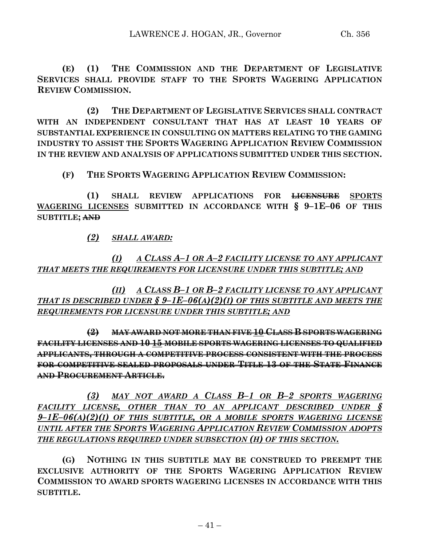**(E) (1) THE COMMISSION AND THE DEPARTMENT OF LEGISLATIVE SERVICES SHALL PROVIDE STAFF TO THE SPORTS WAGERING APPLICATION REVIEW COMMISSION.**

**(2) THE DEPARTMENT OF LEGISLATIVE SERVICES SHALL CONTRACT WITH AN INDEPENDENT CONSULTANT THAT HAS AT LEAST 10 YEARS OF SUBSTANTIAL EXPERIENCE IN CONSULTING ON MATTERS RELATING TO THE GAMING INDUSTRY TO ASSIST THE SPORTS WAGERING APPLICATION REVIEW COMMISSION IN THE REVIEW AND ANALYSIS OF APPLICATIONS SUBMITTED UNDER THIS SECTION.**

**(F) THE SPORTS WAGERING APPLICATION REVIEW COMMISSION:**

**(1) SHALL REVIEW APPLICATIONS FOR LICENSURE SPORTS WAGERING LICENSES SUBMITTED IN ACCORDANCE WITH § 9–1E–06 OF THIS SUBTITLE; AND**

*(2) SHALL AWARD:*

*(I) A CLASS A–1 OR A–2 FACILITY LICENSE TO ANY APPLICANT THAT MEETS THE REQUIREMENTS FOR LICENSURE UNDER THIS SUBTITLE; AND*

*(II) A CLASS B–1 OR B–2 FACILITY LICENSE TO ANY APPLICANT THAT IS DESCRIBED UNDER § 9–1E–06(A)(2)(I) OF THIS SUBTITLE AND MEETS THE REQUIREMENTS FOR LICENSURE UNDER THIS SUBTITLE; AND*

**(2) MAY AWARD NOT MORE THAN FIVE 10 CLASS B SPORTS WAGERING FACILITY LICENSES AND 10 15 MOBILE SPORTS WAGERING LICENSES TO QUALIFIED APPLICANTS, THROUGH A COMPETITIVE PROCESS CONSISTENT WITH THE PROCESS FOR COMPETITIVE SEALED PROPOSALS UNDER TITLE 13 OF THE STATE FINANCE AND PROCUREMENT ARTICLE.**

*(3) MAY NOT AWARD A CLASS B–1 OR B–2 SPORTS WAGERING FACILITY LICENSE, OTHER THAN TO AN APPLICANT DESCRIBED UNDER § 9–1E–06(A)(2)(I) OF THIS SUBTITLE, OR A MOBILE SPORTS WAGERING LICENSE UNTIL AFTER THE SPORTS WAGERING APPLICATION REVIEW COMMISSION ADOPTS THE REGULATIONS REQUIRED UNDER SUBSECTION (H) OF THIS SECTION.*

**(G) NOTHING IN THIS SUBTITLE MAY BE CONSTRUED TO PREEMPT THE EXCLUSIVE AUTHORITY OF THE SPORTS WAGERING APPLICATION REVIEW COMMISSION TO AWARD SPORTS WAGERING LICENSES IN ACCORDANCE WITH THIS SUBTITLE.**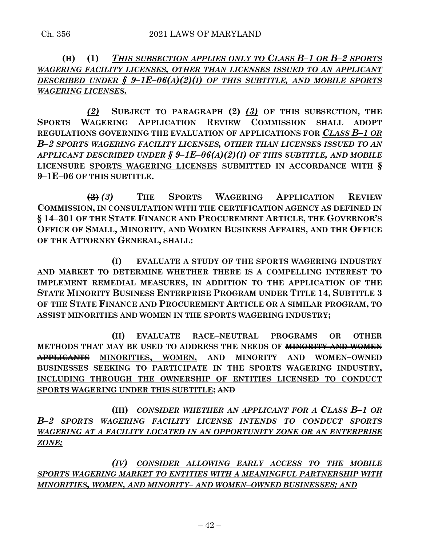**(H) (1)** *THIS SUBSECTION APPLIES ONLY TO CLASS B–1 OR B–2 SPORTS WAGERING FACILITY LICENSES, OTHER THAN LICENSES ISSUED TO AN APPLICANT DESCRIBED UNDER § 9–1E–06(A)(2)(I) OF THIS SUBTITLE, AND MOBILE SPORTS WAGERING LICENSES.*

*(2)* **SUBJECT TO PARAGRAPH (2)** *(3)* **OF THIS SUBSECTION, THE SPORTS WAGERING APPLICATION REVIEW COMMISSION SHALL ADOPT REGULATIONS GOVERNING THE EVALUATION OF APPLICATIONS FOR** *CLASS B–1 OR B–2 SPORTS WAGERING FACILITY LICENSES, OTHER THAN LICENSES ISSUED TO AN APPLICANT DESCRIBED UNDER § 9–1E–06(A)(2)(I) OF THIS SUBTITLE, AND MOBILE* **LICENSURE SPORTS WAGERING LICENSES SUBMITTED IN ACCORDANCE WITH § 9–1E–06 OF THIS SUBTITLE.**

**(2)** *(3)* **THE SPORTS WAGERING APPLICATION REVIEW COMMISSION, IN CONSULTATION WITH THE CERTIFICATION AGENCY AS DEFINED IN § 14–301 OF THE STATE FINANCE AND PROCUREMENT ARTICLE, THE GOVERNOR'S OFFICE OF SMALL, MINORITY, AND WOMEN BUSINESS AFFAIRS, AND THE OFFICE OF THE ATTORNEY GENERAL, SHALL:**

**(I) EVALUATE A STUDY OF THE SPORTS WAGERING INDUSTRY AND MARKET TO DETERMINE WHETHER THERE IS A COMPELLING INTEREST TO IMPLEMENT REMEDIAL MEASURES, IN ADDITION TO THE APPLICATION OF THE STATE MINORITY BUSINESS ENTERPRISE PROGRAM UNDER TITLE 14, SUBTITLE 3 OF THE STATE FINANCE AND PROCUREMENT ARTICLE OR A SIMILAR PROGRAM, TO ASSIST MINORITIES AND WOMEN IN THE SPORTS WAGERING INDUSTRY;**

**(II) EVALUATE RACE–NEUTRAL PROGRAMS OR OTHER METHODS THAT MAY BE USED TO ADDRESS THE NEEDS OF MINORITY AND WOMEN APPLICANTS MINORITIES, WOMEN, AND MINORITY AND WOMEN–OWNED BUSINESSES SEEKING TO PARTICIPATE IN THE SPORTS WAGERING INDUSTRY, INCLUDING THROUGH THE OWNERSHIP OF ENTITIES LICENSED TO CONDUCT SPORTS WAGERING UNDER THIS SUBTITLE; AND**

**(III)** *CONSIDER WHETHER AN APPLICANT FOR A CLASS B–1 OR B–2 SPORTS WAGERING FACILITY LICENSE INTENDS TO CONDUCT SPORTS WAGERING AT A FACILITY LOCATED IN AN OPPORTUNITY ZONE OR AN ENTERPRISE ZONE;*

*(IV) CONSIDER ALLOWING EARLY ACCESS TO THE MOBILE SPORTS WAGERING MARKET TO ENTITIES WITH A MEANINGFUL PARTNERSHIP WITH MINORITIES, WOMEN, AND MINORITY– AND WOMEN–OWNED BUSINESSES; AND*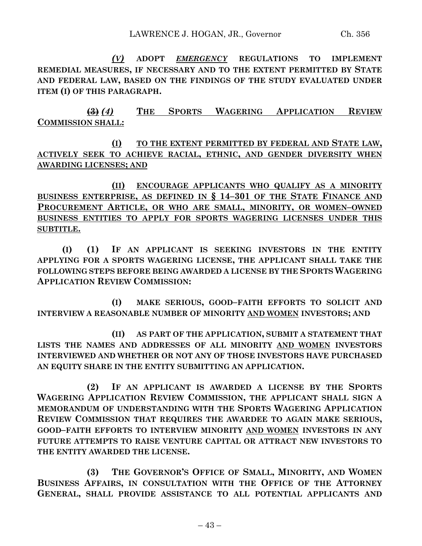*(V)* **ADOPT** *EMERGENCY* **REGULATIONS TO IMPLEMENT REMEDIAL MEASURES, IF NECESSARY AND TO THE EXTENT PERMITTED BY STATE AND FEDERAL LAW, BASED ON THE FINDINGS OF THE STUDY EVALUATED UNDER ITEM (I) OF THIS PARAGRAPH.**

**(3)** *(4)* **THE SPORTS WAGERING APPLICATION REVIEW COMMISSION SHALL:**

**(I) TO THE EXTENT PERMITTED BY FEDERAL AND STATE LAW, ACTIVELY SEEK TO ACHIEVE RACIAL, ETHNIC, AND GENDER DIVERSITY WHEN AWARDING LICENSES; AND**

**(II) ENCOURAGE APPLICANTS WHO QUALIFY AS A MINORITY BUSINESS ENTERPRISE, AS DEFINED IN § 14–301 OF THE STATE FINANCE AND PROCUREMENT ARTICLE, OR WHO ARE SMALL, MINORITY, OR WOMEN–OWNED BUSINESS ENTITIES TO APPLY FOR SPORTS WAGERING LICENSES UNDER THIS SUBTITLE.**

**(I) (1) IF AN APPLICANT IS SEEKING INVESTORS IN THE ENTITY APPLYING FOR A SPORTS WAGERING LICENSE, THE APPLICANT SHALL TAKE THE FOLLOWING STEPS BEFORE BEING AWARDED A LICENSE BY THE SPORTS WAGERING APPLICATION REVIEW COMMISSION:**

**(I) MAKE SERIOUS, GOOD–FAITH EFFORTS TO SOLICIT AND INTERVIEW A REASONABLE NUMBER OF MINORITY AND WOMEN INVESTORS; AND**

**(II) AS PART OF THE APPLICATION, SUBMIT A STATEMENT THAT LISTS THE NAMES AND ADDRESSES OF ALL MINORITY AND WOMEN INVESTORS INTERVIEWED AND WHETHER OR NOT ANY OF THOSE INVESTORS HAVE PURCHASED AN EQUITY SHARE IN THE ENTITY SUBMITTING AN APPLICATION.**

**(2) IF AN APPLICANT IS AWARDED A LICENSE BY THE SPORTS WAGERING APPLICATION REVIEW COMMISSION, THE APPLICANT SHALL SIGN A MEMORANDUM OF UNDERSTANDING WITH THE SPORTS WAGERING APPLICATION REVIEW COMMISSION THAT REQUIRES THE AWARDEE TO AGAIN MAKE SERIOUS, GOOD–FAITH EFFORTS TO INTERVIEW MINORITY AND WOMEN INVESTORS IN ANY FUTURE ATTEMPTS TO RAISE VENTURE CAPITAL OR ATTRACT NEW INVESTORS TO THE ENTITY AWARDED THE LICENSE.**

**(3) THE GOVERNOR'S OFFICE OF SMALL, MINORITY, AND WOMEN BUSINESS AFFAIRS, IN CONSULTATION WITH THE OFFICE OF THE ATTORNEY GENERAL, SHALL PROVIDE ASSISTANCE TO ALL POTENTIAL APPLICANTS AND**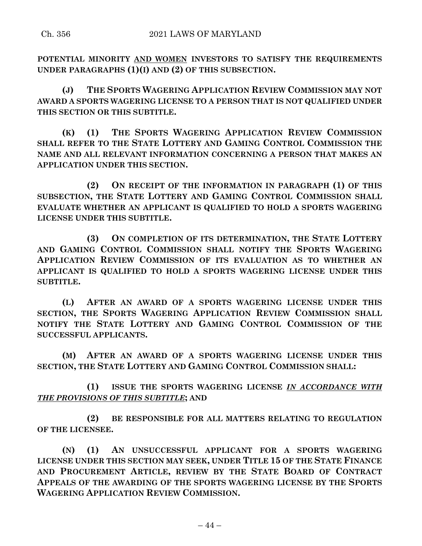**POTENTIAL MINORITY AND WOMEN INVESTORS TO SATISFY THE REQUIREMENTS UNDER PARAGRAPHS (1)(I) AND (2) OF THIS SUBSECTION.**

**(J) THE SPORTS WAGERING APPLICATION REVIEW COMMISSION MAY NOT AWARD A SPORTS WAGERING LICENSE TO A PERSON THAT IS NOT QUALIFIED UNDER THIS SECTION OR THIS SUBTITLE.**

**(K) (1) THE SPORTS WAGERING APPLICATION REVIEW COMMISSION SHALL REFER TO THE STATE LOTTERY AND GAMING CONTROL COMMISSION THE NAME AND ALL RELEVANT INFORMATION CONCERNING A PERSON THAT MAKES AN APPLICATION UNDER THIS SECTION.**

**(2) ON RECEIPT OF THE INFORMATION IN PARAGRAPH (1) OF THIS SUBSECTION, THE STATE LOTTERY AND GAMING CONTROL COMMISSION SHALL EVALUATE WHETHER AN APPLICANT IS QUALIFIED TO HOLD A SPORTS WAGERING LICENSE UNDER THIS SUBTITLE.**

**(3) ON COMPLETION OF ITS DETERMINATION, THE STATE LOTTERY AND GAMING CONTROL COMMISSION SHALL NOTIFY THE SPORTS WAGERING APPLICATION REVIEW COMMISSION OF ITS EVALUATION AS TO WHETHER AN APPLICANT IS QUALIFIED TO HOLD A SPORTS WAGERING LICENSE UNDER THIS SUBTITLE.**

**(L) AFTER AN AWARD OF A SPORTS WAGERING LICENSE UNDER THIS SECTION, THE SPORTS WAGERING APPLICATION REVIEW COMMISSION SHALL NOTIFY THE STATE LOTTERY AND GAMING CONTROL COMMISSION OF THE SUCCESSFUL APPLICANTS.**

**(M) AFTER AN AWARD OF A SPORTS WAGERING LICENSE UNDER THIS SECTION, THE STATE LOTTERY AND GAMING CONTROL COMMISSION SHALL:**

**(1) ISSUE THE SPORTS WAGERING LICENSE** *IN ACCORDANCE WITH THE PROVISIONS OF THIS SUBTITLE***; AND**

**(2) BE RESPONSIBLE FOR ALL MATTERS RELATING TO REGULATION OF THE LICENSEE.**

**(N) (1) AN UNSUCCESSFUL APPLICANT FOR A SPORTS WAGERING LICENSE UNDER THIS SECTION MAY SEEK, UNDER TITLE 15 OF THE STATE FINANCE AND PROCUREMENT ARTICLE, REVIEW BY THE STATE BOARD OF CONTRACT APPEALS OF THE AWARDING OF THE SPORTS WAGERING LICENSE BY THE SPORTS WAGERING APPLICATION REVIEW COMMISSION.**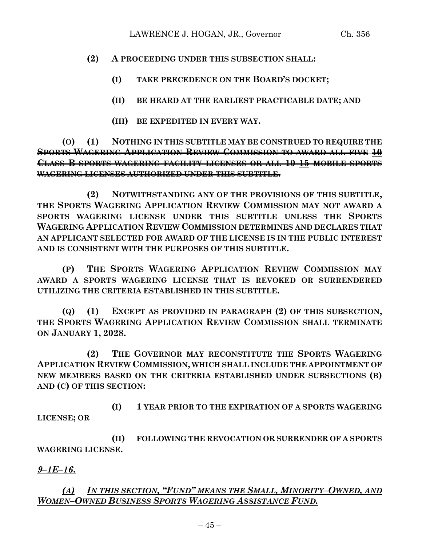## **(2) A PROCEEDING UNDER THIS SUBSECTION SHALL:**

- **(I) TAKE PRECEDENCE ON THE BOARD'S DOCKET;**
- **(II) BE HEARD AT THE EARLIEST PRACTICABLE DATE; AND**
- **(III) BE EXPEDITED IN EVERY WAY.**

**(O) (1) NOTHING IN THIS SUBTITLE MAY BE CONSTRUED TO REQUIRE THE SPORTS WAGERING APPLICATION REVIEW COMMISSION TO AWARD ALL FIVE 10 CLASS B SPORTS WAGERING FACILITY LICENSES OR ALL 10 15 MOBILE SPORTS WAGERING LICENSES AUTHORIZED UNDER THIS SUBTITLE.**

**(2) NOTWITHSTANDING ANY OF THE PROVISIONS OF THIS SUBTITLE, THE SPORTS WAGERING APPLICATION REVIEW COMMISSION MAY NOT AWARD A SPORTS WAGERING LICENSE UNDER THIS SUBTITLE UNLESS THE SPORTS WAGERING APPLICATION REVIEW COMMISSION DETERMINES AND DECLARES THAT AN APPLICANT SELECTED FOR AWARD OF THE LICENSE IS IN THE PUBLIC INTEREST AND IS CONSISTENT WITH THE PURPOSES OF THIS SUBTITLE.**

**(P) THE SPORTS WAGERING APPLICATION REVIEW COMMISSION MAY AWARD A SPORTS WAGERING LICENSE THAT IS REVOKED OR SURRENDERED UTILIZING THE CRITERIA ESTABLISHED IN THIS SUBTITLE.**

**(Q) (1) EXCEPT AS PROVIDED IN PARAGRAPH (2) OF THIS SUBSECTION, THE SPORTS WAGERING APPLICATION REVIEW COMMISSION SHALL TERMINATE ON JANUARY 1, 2028.**

**(2) THE GOVERNOR MAY RECONSTITUTE THE SPORTS WAGERING APPLICATION REVIEW COMMISSION, WHICH SHALL INCLUDE THE APPOINTMENT OF NEW MEMBERS BASED ON THE CRITERIA ESTABLISHED UNDER SUBSECTIONS (B) AND (C) OF THIS SECTION:**

**(I) 1 YEAR PRIOR TO THE EXPIRATION OF A SPORTS WAGERING LICENSE; OR**

**(II) FOLLOWING THE REVOCATION OR SURRENDER OF A SPORTS WAGERING LICENSE.**

# *9–1E–16.*

*(A) IN THIS SECTION, "FUND" MEANS THE SMALL, MINORITY–OWNED, AND WOMEN–OWNED BUSINESS SPORTS WAGERING ASSISTANCE FUND.*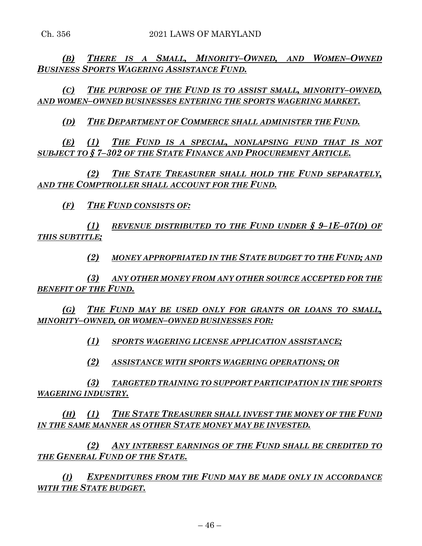*(B) THERE IS A SMALL, MINORITY–OWNED, AND WOMEN–OWNED BUSINESS SPORTS WAGERING ASSISTANCE FUND.*

*(C) THE PURPOSE OF THE FUND IS TO ASSIST SMALL, MINORITY–OWNED, AND WOMEN–OWNED BUSINESSES ENTERING THE SPORTS WAGERING MARKET.*

*(D) THE DEPARTMENT OF COMMERCE SHALL ADMINISTER THE FUND.*

*(E) (1) THE FUND IS A SPECIAL, NONLAPSING FUND THAT IS NOT SUBJECT TO § 7–302 OF THE STATE FINANCE AND PROCUREMENT ARTICLE.*

*(2) THE STATE TREASURER SHALL HOLD THE FUND SEPARATELY, AND THE COMPTROLLER SHALL ACCOUNT FOR THE FUND.*

*(F) THE FUND CONSISTS OF:*

*(1) REVENUE DISTRIBUTED TO THE FUND UNDER § 9–1E–07(D) OF THIS SUBTITLE;*

*(2) MONEY APPROPRIATED IN THE STATE BUDGET TO THE FUND; AND*

*(3) ANY OTHER MONEY FROM ANY OTHER SOURCE ACCEPTED FOR THE BENEFIT OF THE FUND.*

*(G) THE FUND MAY BE USED ONLY FOR GRANTS OR LOANS TO SMALL, MINORITY–OWNED, OR WOMEN–OWNED BUSINESSES FOR:*

*(1) SPORTS WAGERING LICENSE APPLICATION ASSISTANCE;*

*(2) ASSISTANCE WITH SPORTS WAGERING OPERATIONS; OR*

*(3) TARGETED TRAINING TO SUPPORT PARTICIPATION IN THE SPORTS WAGERING INDUSTRY.*

*(H) (1) THE STATE TREASURER SHALL INVEST THE MONEY OF THE FUND IN THE SAME MANNER AS OTHER STATE MONEY MAY BE INVESTED.*

*(2) ANY INTEREST EARNINGS OF THE FUND SHALL BE CREDITED TO THE GENERAL FUND OF THE STATE.*

*(I) EXPENDITURES FROM THE FUND MAY BE MADE ONLY IN ACCORDANCE WITH THE STATE BUDGET.*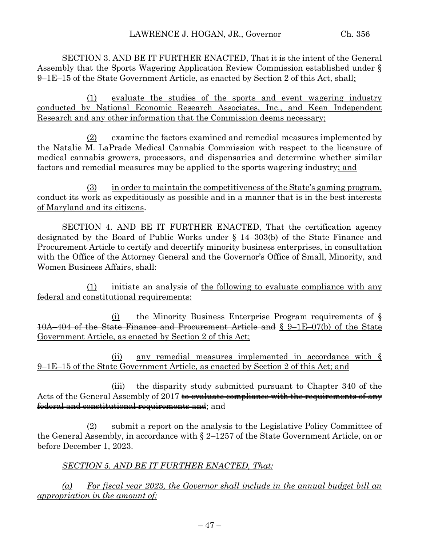SECTION 3. AND BE IT FURTHER ENACTED, That it is the intent of the General Assembly that the Sports Wagering Application Review Commission established under § 9–1E–15 of the State Government Article, as enacted by Section 2 of this Act, shall:

(1) evaluate the studies of the sports and event wagering industry conducted by National Economic Research Associates, Inc., and Keen Independent Research and any other information that the Commission deems necessary;

(2) examine the factors examined and remedial measures implemented by the Natalie M. LaPrade Medical Cannabis Commission with respect to the licensure of medical cannabis growers, processors, and dispensaries and determine whether similar factors and remedial measures may be applied to the sports wagering industry; and

(3) in order to maintain the competitiveness of the State's gaming program, conduct its work as expeditiously as possible and in a manner that is in the best interests of Maryland and its citizens.

SECTION 4. AND BE IT FURTHER ENACTED, That the certification agency designated by the Board of Public Works under § 14–303(b) of the State Finance and Procurement Article to certify and decertify minority business enterprises, in consultation with the Office of the Attorney General and the Governor's Office of Small, Minority, and Women Business Affairs, shall:

(1) initiate an analysis of the following to evaluate compliance with any federal and constitutional requirements:

 $(i)$  the Minority Business Enterprise Program requirements of  $\frac{1}{2}$ 10A–404 of the State Finance and Procurement Article and § 9–1E–07(b) of the State Government Article, as enacted by Section 2 of this Act;

(ii) any remedial measures implemented in accordance with § 9–1E–15 of the State Government Article, as enacted by Section 2 of this Act; and

(iii) the disparity study submitted pursuant to Chapter 340 of the Acts of the General Assembly of 2017 to evaluate compliance with the requirements of any federal and constitutional requirements and; and

(2) submit a report on the analysis to the Legislative Policy Committee of the General Assembly, in accordance with § 2–1257 of the State Government Article, on or before December 1, 2023.

*SECTION 5. AND BE IT FURTHER ENACTED, That:*

*(a) For fiscal year 2023, the Governor shall include in the annual budget bill an appropriation in the amount of:*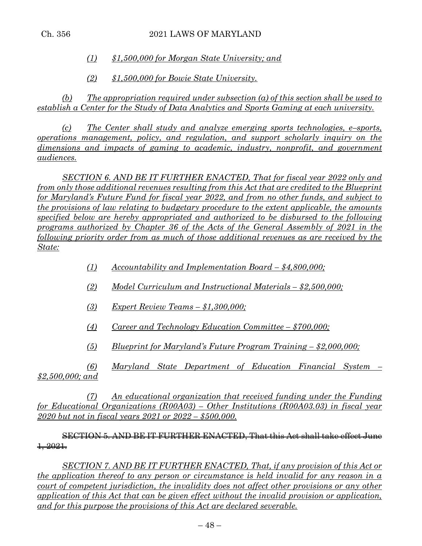*(1) \$1,500,000 for Morgan State University; and*

*(2) \$1,500,000 for Bowie State University.*

*(b) The appropriation required under subsection (a) of this section shall be used to establish a Center for the Study of Data Analytics and Sports Gaming at each university.*

*(c) The Center shall study and analyze emerging sports technologies, e–sports, operations management, policy, and regulation, and support scholarly inquiry on the dimensions and impacts of gaming to academic, industry, nonprofit, and government audiences.*

*SECTION 6. AND BE IT FURTHER ENACTED, That for fiscal year 2022 only and from only those additional revenues resulting from this Act that are credited to the Blueprint for Maryland's Future Fund for fiscal year 2022, and from no other funds, and subject to the provisions of law relating to budgetary procedure to the extent applicable, the amounts specified below are hereby appropriated and authorized to be disbursed to the following programs authorized by Chapter 36 of the Acts of the General Assembly of 2021 in the following priority order from as much of those additional revenues as are received by the State:* 

- *(1) Accountability and Implementation Board – \$4,800,000;*
- *(2) Model Curriculum and Instructional Materials – \$2,500,000;*
- *(3) Expert Review Teams – \$1,300,000;*
- *(4) Career and Technology Education Committee – \$700,000;*
- *(5) Blueprint for Maryland's Future Program Training – \$2,000,000;*

*(6) Maryland State Department of Education Financial System – \$2,500,000; and*

*(7) An educational organization that received funding under the Funding for Educational Organizations (R00A03) – Other Institutions (R00A03.03) in fiscal year 2020 but not in fiscal years 2021 or 2022 – \$500,000.*

## SECTION 5. AND BE IT FURTHER ENACTED, That this Act shall take effect June  $+2021.$

*SECTION 7. AND BE IT FURTHER ENACTED, That, if any provision of this Act or the application thereof to any person or circumstance is held invalid for any reason in a court of competent jurisdiction, the invalidity does not affect other provisions or any other application of this Act that can be given effect without the invalid provision or application, and for this purpose the provisions of this Act are declared severable.*